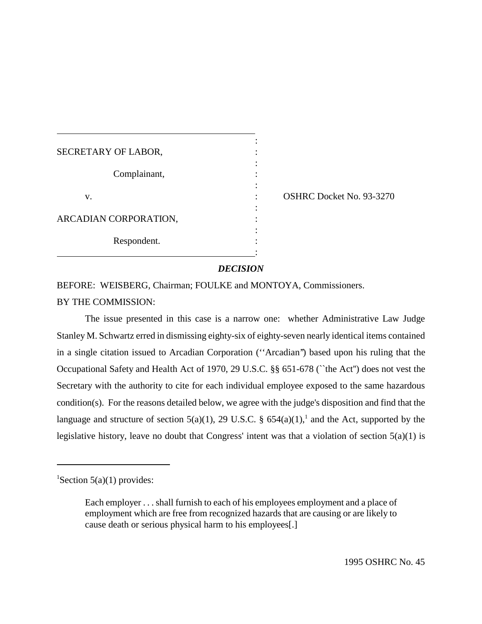| SECRETARY OF LABOR,   |  |
|-----------------------|--|
|                       |  |
| Complainant,          |  |
|                       |  |
| V.                    |  |
|                       |  |
| ARCADIAN CORPORATION, |  |
|                       |  |
| Respondent.           |  |
|                       |  |

: OSHRC Docket No. 93-3270

### *DECISION*

BEFORE: WEISBERG, Chairman; FOULKE and MONTOYA, Commissioners. BY THE COMMISSION:

The issue presented in this case is a narrow one: whether Administrative Law Judge Stanley M. Schwartz erred in dismissing eighty-six of eighty-seven nearly identical items contained in a single citation issued to Arcadian Corporation (''Arcadian'') based upon his ruling that the Occupational Safety and Health Act of 1970, 29 U.S.C. §§ 651-678 (``the Act'') does not vest the Secretary with the authority to cite for each individual employee exposed to the same hazardous condition(s). For the reasons detailed below, we agree with the judge's disposition and find that the language and structure of section  $5(a)(1)$ , 29 U.S.C. §  $654(a)(1)$ ,<sup>1</sup> and the Act, supported by the legislative history, leave no doubt that Congress' intent was that a violation of section 5(a)(1) is

<sup>&</sup>lt;sup>1</sup>Section 5(a)(1) provides:

Each employer . . . shall furnish to each of his employees employment and a place of employment which are free from recognized hazards that are causing or are likely to cause death or serious physical harm to his employees[.]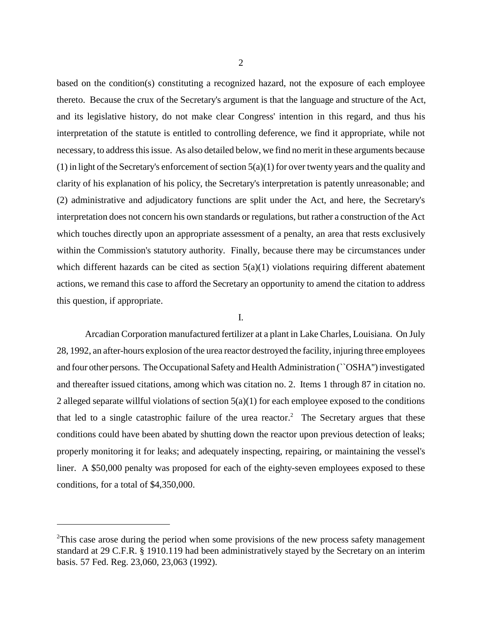based on the condition(s) constituting a recognized hazard, not the exposure of each employee thereto. Because the crux of the Secretary's argument is that the language and structure of the Act, and its legislative history, do not make clear Congress' intention in this regard, and thus his interpretation of the statute is entitled to controlling deference, we find it appropriate, while not necessary, to address this issue. As also detailed below, we find no merit in these arguments because  $(1)$  in light of the Secretary's enforcement of section  $5(a)(1)$  for over twenty years and the quality and clarity of his explanation of his policy, the Secretary's interpretation is patently unreasonable; and (2) administrative and adjudicatory functions are split under the Act, and here, the Secretary's interpretation does not concern his own standards or regulations, but rather a construction of the Act which touches directly upon an appropriate assessment of a penalty, an area that rests exclusively within the Commission's statutory authority. Finally, because there may be circumstances under which different hazards can be cited as section  $5(a)(1)$  violations requiring different abatement actions, we remand this case to afford the Secretary an opportunity to amend the citation to address this question, if appropriate.

# I.

Arcadian Corporation manufactured fertilizer at a plant in Lake Charles, Louisiana. On July 28, 1992, an after-hours explosion of the urea reactor destroyed the facility, injuring three employees and four other persons. The Occupational Safety and Health Administration (``OSHA'') investigated and thereafter issued citations, among which was citation no. 2. Items 1 through 87 in citation no. 2 alleged separate willful violations of section  $5(a)(1)$  for each employee exposed to the conditions that led to a single catastrophic failure of the urea reactor.<sup>2</sup> The Secretary argues that these conditions could have been abated by shutting down the reactor upon previous detection of leaks; properly monitoring it for leaks; and adequately inspecting, repairing, or maintaining the vessel's liner. A \$50,000 penalty was proposed for each of the eighty-seven employees exposed to these conditions, for a total of \$4,350,000.

 $2$ This case arose during the period when some provisions of the new process safety management standard at 29 C.F.R. § 1910.119 had been administratively stayed by the Secretary on an interim basis. 57 Fed. Reg. 23,060, 23,063 (1992).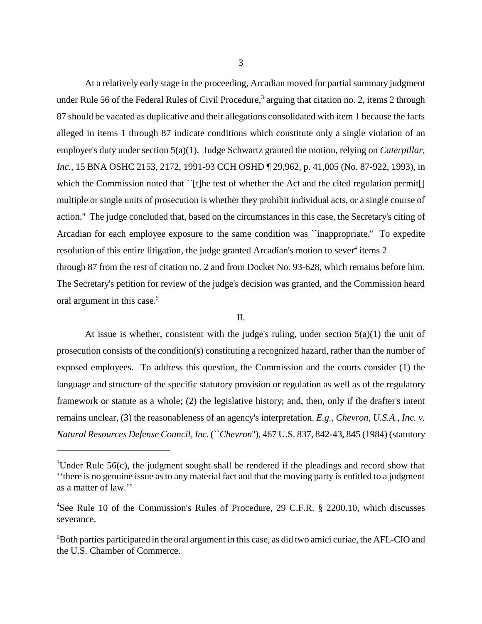At a relatively early stage in the proceeding, Arcadian moved for partial summary judgment under Rule 56 of the Federal Rules of Civil Procedure,<sup>3</sup> arguing that citation no. 2, items 2 through 87 should be vacated as duplicative and their allegations consolidated with item 1 because the facts alleged in items 1 through 87 indicate conditions which constitute only a single violation of an employer's duty under section 5(a)(1). Judge Schwartz granted the motion, relying on *Caterpillar, Inc.*, 15 BNA OSHC 2153, 2172, 1991-93 CCH OSHD ¶ 29,962, p. 41,005 (No. 87-922, 1993), in which the Commission noted that ``[t]he test of whether the Act and the cited regulation permit[] multiple or single units of prosecution is whether they prohibit individual acts, or a single course of action.'' The judge concluded that, based on the circumstances in this case, the Secretary's citing of Arcadian for each employee exposure to the same condition was ``inappropriate.'' To expedite resolution of this entire litigation, the judge granted Arcadian's motion to sever<sup>4</sup> items 2 through 87 from the rest of citation no. 2 and from Docket No. 93-628, which remains before him. The Secretary's petition for review of the judge's decision was granted, and the Commission heard oral argument in this case.<sup>5</sup>

# II.

At issue is whether, consistent with the judge's ruling, under section  $5(a)(1)$  the unit of prosecution consists of the condition(s) constituting a recognized hazard, rather than the number of exposed employees. To address this question, the Commission and the courts consider (1) the language and structure of the specific statutory provision or regulation as well as of the regulatory framework or statute as a whole; (2) the legislative history; and, then, only if the drafter's intent remains unclear, (3) the reasonableness of an agency's interpretation. *E.g., Chevron, U.S.A., Inc. v. Natural Resources Defense Council, Inc.* (``*Chevron*''), 467 U.S. 837, 842-43, 845 (1984) (statutory

 $3$ Under Rule 56(c), the judgment sought shall be rendered if the pleadings and record show that ''there is no genuine issue as to any material fact and that the moving party is entitled to a judgment as a matter of law.''

<sup>4</sup> See Rule 10 of the Commission's Rules of Procedure, 29 C.F.R. § 2200.10, which discusses severance.

<sup>5</sup> Both parties participated in the oral argument in this case, as did two amici curiae, the AFL-CIO and the U.S. Chamber of Commerce.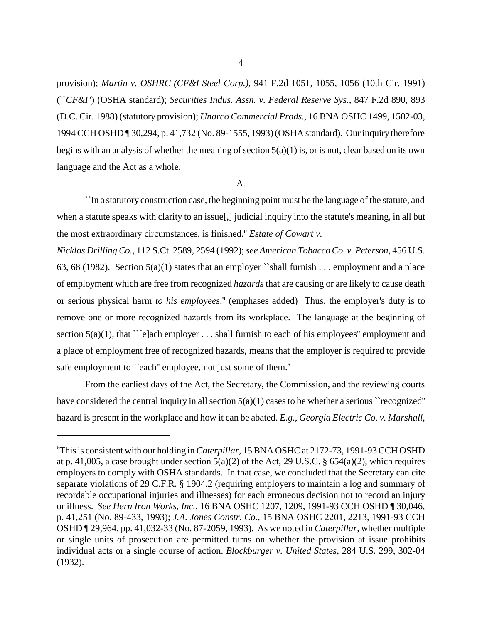provision); *Martin v. OSHRC (CF&I Steel Corp.)*, 941 F.2d 1051, 1055, 1056 (10th Cir. 1991) (``*CF&I*'') (OSHA standard); *Securities Indus. Assn. v. Federal Reserve Sys.*, 847 F.2d 890, 893 (D.C. Cir. 1988) (statutory provision); *Unarco Commercial Prods.*, 16 BNA OSHC 1499, 1502-03, 1994 CCH OSHD ¶ 30,294, p. 41,732 (No. 89-1555, 1993) (OSHA standard). Our inquiry therefore begins with an analysis of whether the meaning of section  $5(a)(1)$  is, or is not, clear based on its own language and the Act as a whole.

## A.

``In a statutory construction case, the beginning point must be the language of the statute, and when a statute speaks with clarity to an issue[,] judicial inquiry into the statute's meaning, in all but the most extraordinary circumstances, is finished.'' *Estate of Cowart v.* 

*Nicklos Drilling Co.*, 112 S.Ct. 2589, 2594 (1992); *see American Tobacco Co. v. Peterson*, 456 U.S. 63, 68 (1982). Section  $5(a)(1)$  states that an employer "shall furnish . . . employment and a place of employment which are free from recognized *hazards* that are causing or are likely to cause death or serious physical harm *to his employees*.'' (emphases added) Thus, the employer's duty is to remove one or more recognized hazards from its workplace. The language at the beginning of section  $5(a)(1)$ , that ``[e]ach employer . . . shall furnish to each of his employees'' employment and a place of employment free of recognized hazards, means that the employer is required to provide safe employment to "each" employee, not just some of them.<sup>6</sup>

From the earliest days of the Act, the Secretary, the Commission, and the reviewing courts have considered the central inquiry in all section  $5(a)(1)$  cases to be whether a serious "recognized" hazard is present in the workplace and how it can be abated. *E.g., Georgia Electric Co. v. Marshall*,

<sup>6</sup> This is consistent with our holding in *Caterpillar*, 15 BNA OSHC at 2172-73, 1991-93 CCH OSHD at p. 41,005, a case brought under section  $5(a)(2)$  of the Act, 29 U.S.C. §  $654(a)(2)$ , which requires employers to comply with OSHA standards. In that case, we concluded that the Secretary can cite separate violations of 29 C.F.R. § 1904.2 (requiring employers to maintain a log and summary of recordable occupational injuries and illnesses) for each erroneous decision not to record an injury or illness. *See Hern Iron Works, Inc.*, 16 BNA OSHC 1207, 1209, 1991-93 CCH OSHD ¶ 30,046, p. 41,251 (No. 89-433, 1993); *J.A. Jones Constr. Co.*, 15 BNA OSHC 2201, 2213, 1991-93 CCH OSHD ¶ 29,964, pp. 41,032-33 (No. 87-2059, 1993). As we noted in *Caterpillar*, whether multiple or single units of prosecution are permitted turns on whether the provision at issue prohibits individual acts or a single course of action. *Blockburger v. United States*, 284 U.S. 299, 302-04 (1932).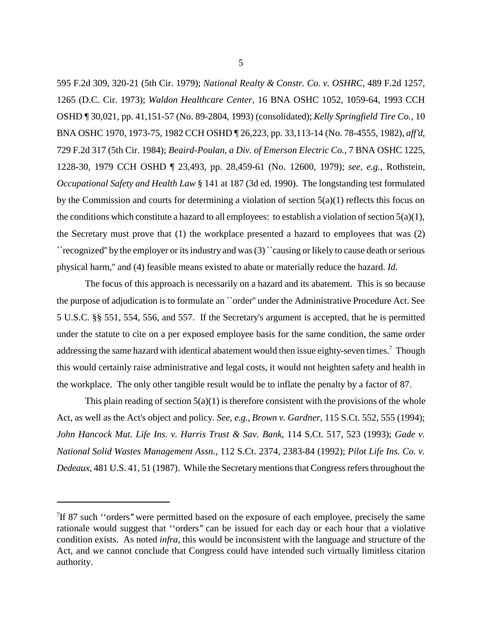595 F.2d 309, 320-21 (5th Cir. 1979); *National Realty & Constr. Co. v. OSHRC,* 489 F.2d 1257, 1265 (D.C. Cir. 1973); *Waldon Healthcare Center*, 16 BNA OSHC 1052, 1059-64, 1993 CCH OSHD ¶ 30,021, pp. 41,151-57 (No. 89-2804, 1993) (consolidated); *Kelly Springfield Tire Co.*, 10 BNA OSHC 1970, 1973-75, 1982 CCH OSHD ¶ 26,223, pp. 33,113-14 (No. 78-4555, 1982), *aff'd*, 729 F.2d 317 (5th Cir. 1984); *Beaird-Poulan, a Div. of Emerson Electric Co.*, 7 BNA OSHC 1225, 1228-30, 1979 CCH OSHD ¶ 23,493, pp. 28,459-61 (No. 12600, 1979); *see, e.g.*, Rothstein, *Occupational Safety and Health Law* § 141 at 187 (3d ed. 1990). The longstanding test formulated by the Commission and courts for determining a violation of section  $5(a)(1)$  reflects this focus on the conditions which constitute a hazard to all employees: to establish a violation of section  $5(a)(1)$ , the Secretary must prove that (1) the workplace presented a hazard to employees that was (2) ``recognized'' by the employer or its industry and was (3) ``causing or likely to cause death or serious physical harm,'' and (4) feasible means existed to abate or materially reduce the hazard. *Id.*

The focus of this approach is necessarily on a hazard and its abatement. This is so because the purpose of adjudication is to formulate an ``order'' under the Administrative Procedure Act. See 5 U.S.C. §§ 551, 554, 556, and 557. If the Secretary's argument is accepted, that he is permitted under the statute to cite on a per exposed employee basis for the same condition, the same order addressing the same hazard with identical abatement would then issue eighty-seven times.<sup>7</sup> Though this would certainly raise administrative and legal costs, it would not heighten safety and health in the workplace. The only other tangible result would be to inflate the penalty by a factor of 87.

This plain reading of section  $5(a)(1)$  is therefore consistent with the provisions of the whole Act, as well as the Act's object and policy. *See, e.g., Brown v. Gardner*, 115 S.Ct. 552, 555 (1994); *John Hancock Mut. Life Ins. v. Harris Trust & Sav. Bank*, 114 S.Ct. 517, 523 (1993); *Gade v. National Solid Wastes Management Assn.*, 112 S.Ct. 2374, 2383-84 (1992); *Pilot Life Ins. Co. v. Dedeaux*, 481 U.S. 41, 51 (1987). While the Secretary mentions that Congress refers throughout the

<sup>&</sup>lt;sup>7</sup>If 87 such "orders" were permitted based on the exposure of each employee, precisely the same rationale would suggest that ''orders'' can be issued for each day or each hour that a violative condition exists. As noted *infra*, this would be inconsistent with the language and structure of the Act, and we cannot conclude that Congress could have intended such virtually limitless citation authority.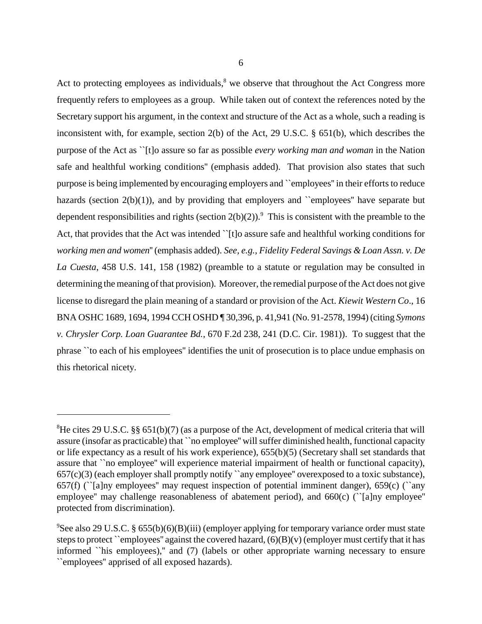Act to protecting employees as individuals, $<sup>8</sup>$  we observe that throughout the Act Congress more</sup> frequently refers to employees as a group. While taken out of context the references noted by the Secretary support his argument, in the context and structure of the Act as a whole, such a reading is inconsistent with, for example, section 2(b) of the Act, 29 U.S.C. § 651(b), which describes the purpose of the Act as ``[t]o assure so far as possible *every working man and woman* in the Nation safe and healthful working conditions'' (emphasis added). That provision also states that such purpose is being implemented by encouraging employers and ``employees'' in their efforts to reduce hazards (section 2(b)(1)), and by providing that employers and "employees" have separate but dependent responsibilities and rights (section  $2(b)(2)$ ).<sup>9</sup> This is consistent with the preamble to the Act, that provides that the Act was intended "[t]o assure safe and healthful working conditions for *working men and women*'' (emphasis added). *See, e.g., Fidelity Federal Savings & Loan Assn. v. De La Cuesta*, 458 U.S. 141, 158 (1982) (preamble to a statute or regulation may be consulted in determining the meaning of that provision). Moreover, the remedial purpose of the Act does not give license to disregard the plain meaning of a standard or provision of the Act. *Kiewit Western Co*., 16 BNA OSHC 1689, 1694, 1994 CCH OSHD ¶ 30,396, p. 41,941 (No. 91-2578, 1994) (citing *Symons v. Chrysler Corp. Loan Guarantee Bd.*, 670 F.2d 238, 241 (D.C. Cir. 1981)). To suggest that the phrase ``to each of his employees'' identifies the unit of prosecution is to place undue emphasis on this rhetorical nicety.

<sup>&</sup>lt;sup>8</sup>He cites 29 U.S.C. §§ 651(b)(7) (as a purpose of the Act, development of medical criteria that will assure (insofar as practicable) that ``no employee'' will suffer diminished health, functional capacity or life expectancy as a result of his work experience), 655(b)(5) (Secretary shall set standards that assure that ``no employee'' will experience material impairment of health or functional capacity),  $657(c)(3)$  (each employer shall promptly notify `any employee'' overexposed to a toxic substance), 657(f) (``[a]ny employees'' may request inspection of potential imminent danger), 659(c) (``any employee'' may challenge reasonableness of abatement period), and 660(c) (``[a]ny employee'' protected from discrimination).

<sup>9</sup> See also 29 U.S.C. § 655(b)(6)(B)(iii) (employer applying for temporary variance order must state steps to protect ``employees'' against the covered hazard,  $(6)(B)(v)$  (employer must certify that it has informed ``his employees),'' and (7) (labels or other appropriate warning necessary to ensure ``employees'' apprised of all exposed hazards).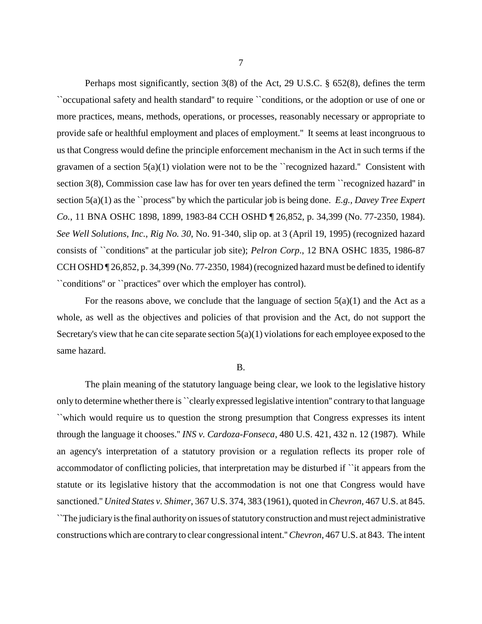Perhaps most significantly, section 3(8) of the Act, 29 U.S.C. § 652(8), defines the term ``occupational safety and health standard'' to require ``conditions, or the adoption or use of one or more practices, means, methods, operations, or processes, reasonably necessary or appropriate to provide safe or healthful employment and places of employment.'' It seems at least incongruous to us that Congress would define the principle enforcement mechanism in the Act in such terms if the gravamen of a section 5(a)(1) violation were not to be the ``recognized hazard.'' Consistent with section 3(8), Commission case law has for over ten years defined the term ``recognized hazard" in section 5(a)(1) as the ``process'' by which the particular job is being done. *E.g., Davey Tree Expert Co.*, 11 BNA OSHC 1898, 1899, 1983-84 CCH OSHD ¶ 26,852, p. 34,399 (No. 77-2350, 1984). *See Well Solutions, Inc., Rig No. 30*, No. 91-340, slip op. at 3 (April 19, 1995) (recognized hazard consists of ``conditions'' at the particular job site); *Pelron Corp*., 12 BNA OSHC 1835, 1986-87 CCH OSHD ¶ 26,852, p. 34,399 (No. 77-2350, 1984) (recognized hazard must be defined to identify ``conditions'' or ``practices'' over which the employer has control).

For the reasons above, we conclude that the language of section  $5(a)(1)$  and the Act as a whole, as well as the objectives and policies of that provision and the Act, do not support the Secretary's view that he can cite separate section  $5(a)(1)$  violations for each employee exposed to the same hazard.

#### B.

The plain meaning of the statutory language being clear, we look to the legislative history only to determine whether there is ``clearly expressed legislative intention'' contrary to that language ``which would require us to question the strong presumption that Congress expresses its intent through the language it chooses.'' *INS v. Cardoza-Fonseca*, 480 U.S. 421, 432 n. 12 (1987). While an agency's interpretation of a statutory provision or a regulation reflects its proper role of accommodator of conflicting policies, that interpretation may be disturbed if ``it appears from the statute or its legislative history that the accommodation is not one that Congress would have sanctioned.'' *United States v. Shimer*, 367 U.S. 374, 383 (1961), quoted in *Chevron*, 467 U.S. at 845. ``The judiciary is the final authority on issues of statutory construction and must reject administrative constructions which are contrary to clear congressional intent.'' *Chevron*, 467 U.S. at 843. The intent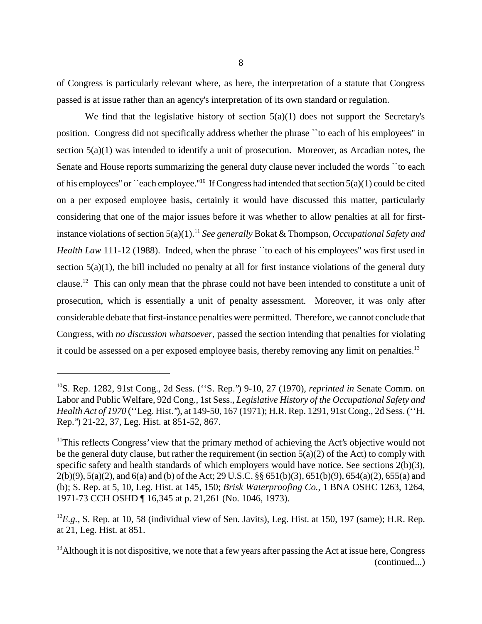of Congress is particularly relevant where, as here, the interpretation of a statute that Congress passed is at issue rather than an agency's interpretation of its own standard or regulation.

We find that the legislative history of section  $5(a)(1)$  does not support the Secretary's position. Congress did not specifically address whether the phrase ``to each of his employees'' in section 5(a)(1) was intended to identify a unit of prosecution. Moreover, as Arcadian notes, the Senate and House reports summarizing the general duty clause never included the words ``to each of his employees" or ``each employee."<sup>10</sup> If Congress had intended that section  $5(a)(1)$  could be cited on a per exposed employee basis, certainly it would have discussed this matter, particularly considering that one of the major issues before it was whether to allow penalties at all for firstinstance violations of section 5(a)(1).<sup>11</sup> *See generally* Bokat & Thompson, *Occupational Safety and Health Law* 111-12 (1988). Indeed, when the phrase "to each of his employees" was first used in section 5(a)(1), the bill included no penalty at all for first instance violations of the general duty clause.12 This can only mean that the phrase could not have been intended to constitute a unit of prosecution, which is essentially a unit of penalty assessment. Moreover, it was only after considerable debate that first-instance penalties were permitted. Therefore, we cannot conclude that Congress, with *no discussion whatsoever*, passed the section intending that penalties for violating it could be assessed on a per exposed employee basis, thereby removing any limit on penalties.<sup>13</sup>

<sup>10</sup>S. Rep. 1282, 91st Cong., 2d Sess. (''S. Rep.'') 9-10, 27 (1970), *reprinted in* Senate Comm. on Labor and Public Welfare, 92d Cong., 1st Sess., *Legislative History of the Occupational Safety and Health Act of 1970* (''Leg. Hist.''), at 149-50, 167 (1971); H.R. Rep. 1291, 91st Cong., 2d Sess. (''H. Rep.'') 21-22, 37, Leg. Hist. at 851-52, 867.

 $11$ This reflects Congress' view that the primary method of achieving the Act's objective would not be the general duty clause, but rather the requirement (in section  $5(a)(2)$  of the Act) to comply with specific safety and health standards of which employers would have notice. See sections 2(b)(3), 2(b)(9), 5(a)(2), and 6(a) and (b) of the Act; 29 U.S.C. §§ 651(b)(3), 651(b)(9), 654(a)(2), 655(a) and (b); S. Rep. at 5, 10, Leg. Hist. at 145, 150; *Brisk Waterproofing Co.*, 1 BNA OSHC 1263, 1264, 1971-73 CCH OSHD ¶ 16,345 at p. 21,261 (No. 1046, 1973).

<sup>&</sup>lt;sup>12</sup>E.g., S. Rep. at 10, 58 (individual view of Sen. Javits), Leg. Hist. at 150, 197 (same); H.R. Rep. at 21, Leg. Hist. at 851.

 $13$ Although it is not dispositive, we note that a few years after passing the Act at issue here, Congress (continued...)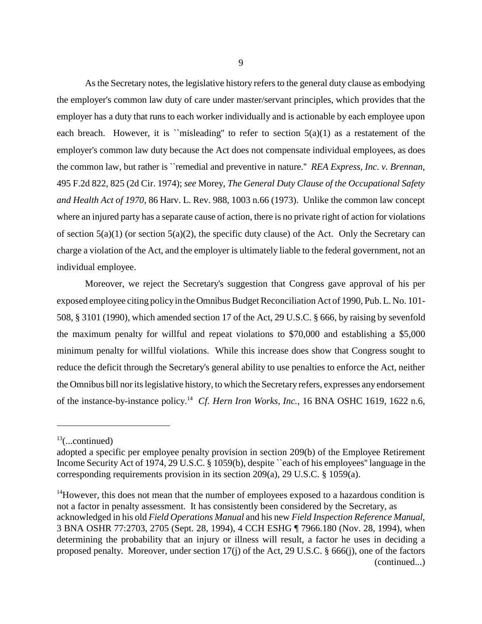As the Secretary notes, the legislative history refers to the general duty clause as embodying the employer's common law duty of care under master/servant principles, which provides that the employer has a duty that runs to each worker individually and is actionable by each employee upon each breach. However, it is "misleading" to refer to section  $5(a)(1)$  as a restatement of the employer's common law duty because the Act does not compensate individual employees, as does the common law, but rather is ``remedial and preventive in nature.'' *REA Express, Inc. v. Brennan*, 495 F.2d 822, 825 (2d Cir. 1974); *see* Morey, *The General Duty Clause of the Occupational Safety and Health Act of 1970,* 86 Harv. L. Rev. 988, 1003 n.66 (1973). Unlike the common law concept where an injured party has a separate cause of action, there is no private right of action for violations of section  $5(a)(1)$  (or section  $5(a)(2)$ , the specific duty clause) of the Act. Only the Secretary can charge a violation of the Act, and the employer is ultimately liable to the federal government, not an individual employee.

Moreover, we reject the Secretary's suggestion that Congress gave approval of his per exposed employee citing policy in the Omnibus Budget Reconciliation Act of 1990, Pub. L. No. 101- 508, § 3101 (1990), which amended section 17 of the Act, 29 U.S.C. § 666, by raising by sevenfold the maximum penalty for willful and repeat violations to \$70,000 and establishing a \$5,000 minimum penalty for willful violations. While this increase does show that Congress sought to reduce the deficit through the Secretary's general ability to use penalties to enforce the Act, neither the Omnibus bill nor its legislative history, to which the Secretary refers, expresses any endorsement of the instance-by-instance policy.14 *Cf. Hern Iron Works, Inc.*, 16 BNA OSHC 1619, 1622 n.6,

 $13$ (...continued)

adopted a specific per employee penalty provision in section 209(b) of the Employee Retirement Income Security Act of 1974, 29 U.S.C. § 1059(b), despite ``each of his employees'' language in the corresponding requirements provision in its section 209(a), 29 U.S.C. § 1059(a).

 $14$ However, this does not mean that the number of employees exposed to a hazardous condition is not a factor in penalty assessment. It has consistently been considered by the Secretary, as acknowledged in his old *Field Operations Manual* and his new *Field Inspection Reference Manual*, 3 BNA OSHR 77:2703, 2705 (Sept. 28, 1994), 4 CCH ESHG ¶ 7966.180 (Nov. 28, 1994), when determining the probability that an injury or illness will result, a factor he uses in deciding a proposed penalty. Moreover, under section 17(j) of the Act, 29 U.S.C. § 666(j), one of the factors (continued...)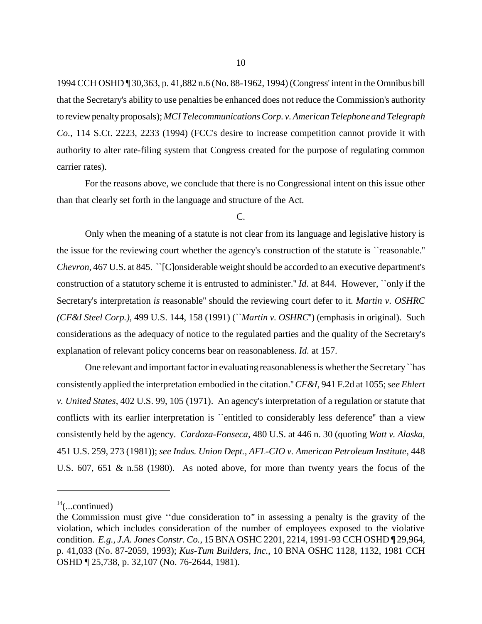1994 CCH OSHD ¶ 30,363, p. 41,882 n.6 (No. 88-1962, 1994) (Congress' intent in the Omnibus bill that the Secretary's ability to use penalties be enhanced does not reduce the Commission's authority to review penalty proposals); *MCI Telecommunications Corp. v. American Telephone and Telegraph Co.*, 114 S.Ct. 2223, 2233 (1994) (FCC's desire to increase competition cannot provide it with authority to alter rate-filing system that Congress created for the purpose of regulating common carrier rates).

For the reasons above, we conclude that there is no Congressional intent on this issue other than that clearly set forth in the language and structure of the Act.

## C.

Only when the meaning of a statute is not clear from its language and legislative history is the issue for the reviewing court whether the agency's construction of the statute is ``reasonable.'' *Chevron*, 467 U.S. at 845. ``[C]onsiderable weight should be accorded to an executive department's construction of a statutory scheme it is entrusted to administer.'' *Id*. at 844. However, ``only if the Secretary's interpretation *is* reasonable'' should the reviewing court defer to it. *Martin v. OSHRC (CF&I Steel Corp.)*, 499 U.S. 144, 158 (1991) (``*Martin v. OSHRC*'') (emphasis in original). Such considerations as the adequacy of notice to the regulated parties and the quality of the Secretary's explanation of relevant policy concerns bear on reasonableness. *Id.* at 157.

One relevant and important factor in evaluating reasonableness is whether the Secretary ``has consistently applied the interpretation embodied in the citation.'' *CF&I,* 941 F.2d at 1055; *see Ehlert v. United States*, 402 U.S. 99, 105 (1971). An agency's interpretation of a regulation or statute that conflicts with its earlier interpretation is ``entitled to considerably less deference'' than a view consistently held by the agency. *Cardoza-Fonseca*, 480 U.S. at 446 n. 30 (quoting *Watt v. Alaska*, 451 U.S. 259, 273 (1981)); *see Indus. Union Dept., AFL-CIO v. American Petroleum Institute*, 448 U.S. 607, 651 & n.58 (1980). As noted above, for more than twenty years the focus of the

 $14$ (...continued)

the Commission must give ''due consideration to'' in assessing a penalty is the gravity of the violation, which includes consideration of the number of employees exposed to the violative condition. *E.g., J.A. Jones Constr. Co.*, 15 BNA OSHC 2201, 2214, 1991-93 CCH OSHD ¶ 29,964, p. 41,033 (No. 87-2059, 1993); *Kus-Tum Builders, Inc.*, 10 BNA OSHC 1128, 1132, 1981 CCH OSHD ¶ 25,738, p. 32,107 (No. 76-2644, 1981).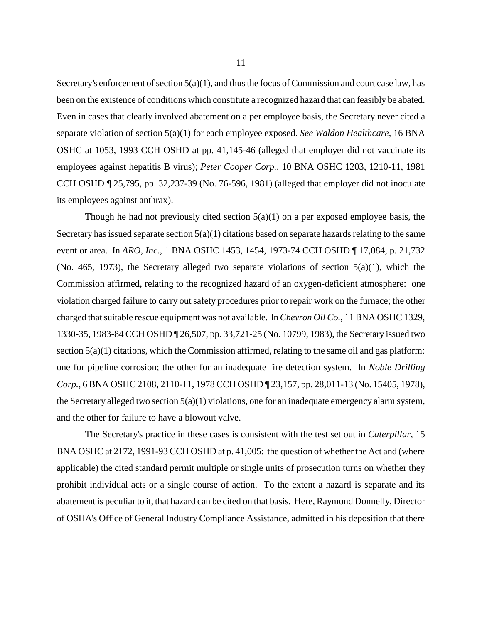Secretary's enforcement of section  $5(a)(1)$ , and thus the focus of Commission and court case law, has been on the existence of conditions which constitute a recognized hazard that can feasibly be abated. Even in cases that clearly involved abatement on a per employee basis, the Secretary never cited a separate violation of section 5(a)(1) for each employee exposed. *See Waldon Healthcare*, 16 BNA OSHC at 1053, 1993 CCH OSHD at pp. 41,145-46 (alleged that employer did not vaccinate its employees against hepatitis B virus); *Peter Cooper Corp.*, 10 BNA OSHC 1203, 1210-11, 1981 CCH OSHD ¶ 25,795, pp. 32,237-39 (No. 76-596, 1981) (alleged that employer did not inoculate its employees against anthrax).

Though he had not previously cited section  $5(a)(1)$  on a per exposed employee basis, the Secretary has issued separate section 5(a)(1) citations based on separate hazards relating to the same event or area. In *ARO, Inc*., 1 BNA OSHC 1453, 1454, 1973-74 CCH OSHD ¶ 17,084, p. 21,732 (No. 465, 1973), the Secretary alleged two separate violations of section  $5(a)(1)$ , which the Commission affirmed, relating to the recognized hazard of an oxygen-deficient atmosphere: one violation charged failure to carry out safety procedures prior to repair work on the furnace; the other charged that suitable rescue equipment was not available. In *Chevron Oil Co.*, 11 BNA OSHC 1329, 1330-35, 1983-84 CCH OSHD ¶ 26,507, pp. 33,721-25 (No. 10799, 1983), the Secretary issued two section 5(a)(1) citations, which the Commission affirmed, relating to the same oil and gas platform: one for pipeline corrosion; the other for an inadequate fire detection system. In *Noble Drilling Corp.*, 6 BNA OSHC 2108, 2110-11, 1978 CCH OSHD ¶ 23,157, pp. 28,011-13 (No. 15405, 1978), the Secretary alleged two section  $5(a)(1)$  violations, one for an inadequate emergency alarm system, and the other for failure to have a blowout valve.

The Secretary's practice in these cases is consistent with the test set out in *Caterpillar*, 15 BNA OSHC at 2172, 1991-93 CCH OSHD at p. 41,005: the question of whether the Act and (where applicable) the cited standard permit multiple or single units of prosecution turns on whether they prohibit individual acts or a single course of action. To the extent a hazard is separate and its abatement is peculiar to it, that hazard can be cited on that basis. Here, Raymond Donnelly, Director of OSHA's Office of General Industry Compliance Assistance, admitted in his deposition that there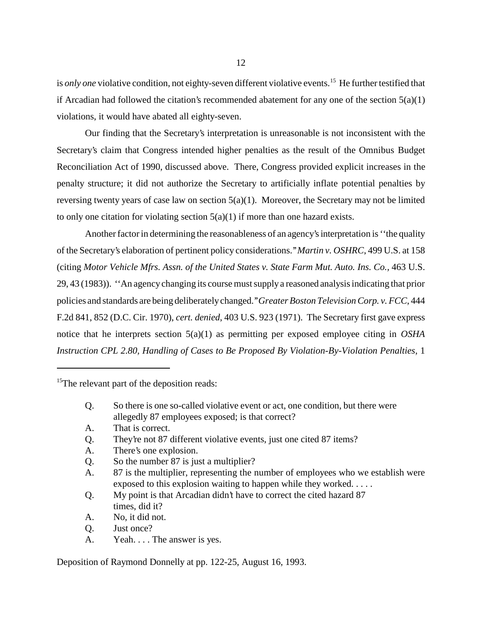is *only one* violative condition, not eighty-seven different violative events.<sup>15</sup> He further testified that if Arcadian had followed the citation's recommended abatement for any one of the section  $5(a)(1)$ violations, it would have abated all eighty-seven.

Our finding that the Secretary's interpretation is unreasonable is not inconsistent with the Secretary's claim that Congress intended higher penalties as the result of the Omnibus Budget Reconciliation Act of 1990, discussed above. There, Congress provided explicit increases in the penalty structure; it did not authorize the Secretary to artificially inflate potential penalties by reversing twenty years of case law on section 5(a)(1). Moreover, the Secretary may not be limited to only one citation for violating section  $5(a)(1)$  if more than one hazard exists.

Another factor in determining the reasonableness of an agency's interpretation is ''the quality of the Secretary's elaboration of pertinent policy considerations.'' *Martin v. OSHRC*, 499 U.S. at 158 (citing *Motor Vehicle Mfrs. Assn. of the United States v. State Farm Mut. Auto. Ins. Co.,* 463 U.S. 29, 43 (1983)). ''An agency changing its course must supply a reasoned analysis indicating that prior policies and standards are being deliberately changed.'' *Greater Boston Television Corp. v. FCC*, 444 F.2d 841, 852 (D.C. Cir. 1970), *cert. denied*, 403 U.S. 923 (1971). The Secretary first gave express notice that he interprets section 5(a)(1) as permitting per exposed employee citing in *OSHA Instruction CPL 2.80, Handling of Cases to Be Proposed By Violation-By-Violation Penalties*, 1

<sup>15</sup>The relevant part of the deposition reads:

- Q. So there is one so-called violative event or act, one condition, but there were allegedly 87 employees exposed; is that correct?
- A. That is correct.
- Q. They're not 87 different violative events, just one cited 87 items?
- A. There's one explosion.
- Q. So the number 87 is just a multiplier?
- A. 87 is the multiplier, representing the number of employees who we establish were exposed to this explosion waiting to happen while they worked. . . . .
- Q. My point is that Arcadian didn't have to correct the cited hazard 87 times, did it?
- A. No, it did not.
- Q. Just once?
- A. Yeah. . . . The answer is yes.

Deposition of Raymond Donnelly at pp. 122-25, August 16, 1993.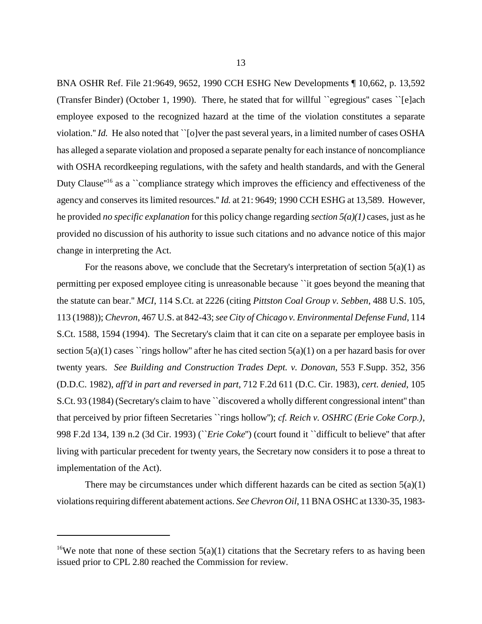BNA OSHR Ref. File 21:9649, 9652, 1990 CCH ESHG New Developments ¶ 10,662, p. 13,592 (Transfer Binder) (October 1, 1990). There, he stated that for willful ``egregious'' cases ``[e]ach employee exposed to the recognized hazard at the time of the violation constitutes a separate violation.'' *Id.* He also noted that ``[o]ver the past several years, in a limited number of cases OSHA has alleged a separate violation and proposed a separate penalty for each instance of noncompliance with OSHA recordkeeping regulations, with the safety and health standards, and with the General Duty Clause<sup>"16</sup> as a ``compliance strategy which improves the efficiency and effectiveness of the agency and conserves its limited resources.'' *Id.* at 21: 9649; 1990 CCH ESHG at 13,589. However, he provided *no specific explanation* for this policy change regarding *section 5(a)(1)* cases, just as he provided no discussion of his authority to issue such citations and no advance notice of this major change in interpreting the Act.

For the reasons above, we conclude that the Secretary's interpretation of section  $5(a)(1)$  as permitting per exposed employee citing is unreasonable because ``it goes beyond the meaning that the statute can bear.'' *MCI*, 114 S.Ct. at 2226 (citing *Pittston Coal Group v. Sebben*, 488 U.S. 105, 113 (1988)); *Chevron*, 467 U.S. at 842-43; *see City of Chicago v. Environmental Defense Fund*, 114 S.Ct. 1588, 1594 (1994). The Secretary's claim that it can cite on a separate per employee basis in section  $5(a)(1)$  cases ``rings hollow" after he has cited section  $5(a)(1)$  on a per hazard basis for over twenty years. *See Building and Construction Trades Dept. v. Donovan*, 553 F.Supp. 352, 356 (D.D.C. 1982), *aff'd in part and reversed in part*, 712 F.2d 611 (D.C. Cir. 1983), *cert. denied*, 105 S.Ct. 93 (1984) (Secretary's claim to have ``discovered a wholly different congressional intent'' than that perceived by prior fifteen Secretaries ``rings hollow''); *cf. Reich v. OSHRC (Erie Coke Corp.)*, 998 F.2d 134, 139 n.2 (3d Cir. 1993) (``*Erie Coke*'') (court found it ``difficult to believe'' that after living with particular precedent for twenty years, the Secretary now considers it to pose a threat to implementation of the Act).

There may be circumstances under which different hazards can be cited as section  $5(a)(1)$ violations requiring different abatement actions. *See Chevron Oil*, 11 BNA OSHC at 1330-35, 1983-

<sup>&</sup>lt;sup>16</sup>We note that none of these section  $5(a)(1)$  citations that the Secretary refers to as having been issued prior to CPL 2.80 reached the Commission for review.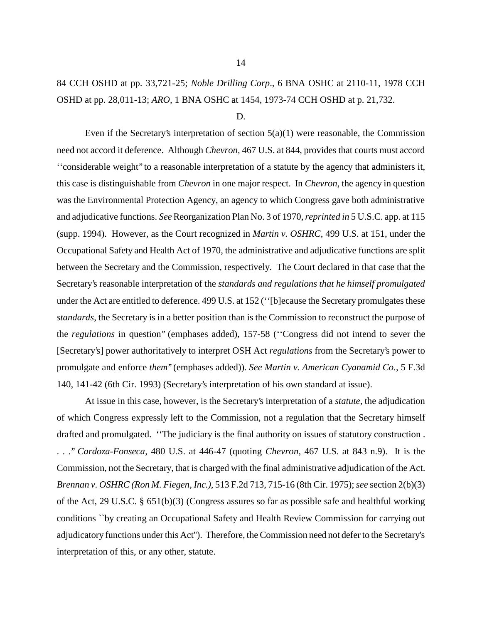# 84 CCH OSHD at pp. 33,721-25; *Noble Drilling Corp*., 6 BNA OSHC at 2110-11, 1978 CCH OSHD at pp. 28,011-13; *ARO*, 1 BNA OSHC at 1454, 1973-74 CCH OSHD at p. 21,732.

D.

Even if the Secretary's interpretation of section  $5(a)(1)$  were reasonable, the Commission need not accord it deference. Although *Chevron,* 467 U.S. at 844, provides that courts must accord ''considerable weight'' to a reasonable interpretation of a statute by the agency that administers it, this case is distinguishable from *Chevron* in one major respect. In *Chevron*, the agency in question was the Environmental Protection Agency, an agency to which Congress gave both administrative and adjudicative functions. *See* Reorganization Plan No. 3 of 1970, *reprinted in* 5 U.S.C. app. at 115 (supp. 1994). However, as the Court recognized in *Martin v. OSHRC*, 499 U.S. at 151, under the Occupational Safety and Health Act of 1970, the administrative and adjudicative functions are split between the Secretary and the Commission, respectively. The Court declared in that case that the Secretary's reasonable interpretation of the *standards and regulations that he himself promulgated* under the Act are entitled to deference. 499 U.S. at 152 (''[b]ecause the Secretary promulgates these *standards*, the Secretary is in a better position than is the Commission to reconstruct the purpose of the *regulations* in question'' (emphases added), 157-58 (''Congress did not intend to sever the [Secretary's] power authoritatively to interpret OSH Act *regulations* from the Secretary's power to promulgate and enforce *them*'' (emphases added)). *See Martin v. American Cyanamid Co.*, 5 F.3d 140, 141-42 (6th Cir. 1993) (Secretary's interpretation of his own standard at issue).

At issue in this case, however, is the Secretary's interpretation of a *statute*, the adjudication of which Congress expressly left to the Commission, not a regulation that the Secretary himself drafted and promulgated. ''The judiciary is the final authority on issues of statutory construction . . . .'' *Cardoza-Fonseca*, 480 U.S. at 446-47 (quoting *Chevron*, 467 U.S. at 843 n.9). It is the Commission, not the Secretary, that is charged with the final administrative adjudication of the Act. *Brennan v. OSHRC (Ron M. Fiegen, Inc.)*, 513 F.2d 713, 715-16 (8th Cir. 1975); *see* section 2(b)(3) of the Act, 29 U.S.C. § 651(b)(3) (Congress assures so far as possible safe and healthful working conditions ``by creating an Occupational Safety and Health Review Commission for carrying out adjudicatory functions under this Act''). Therefore, the Commission need not defer to the Secretary's interpretation of this, or any other, statute.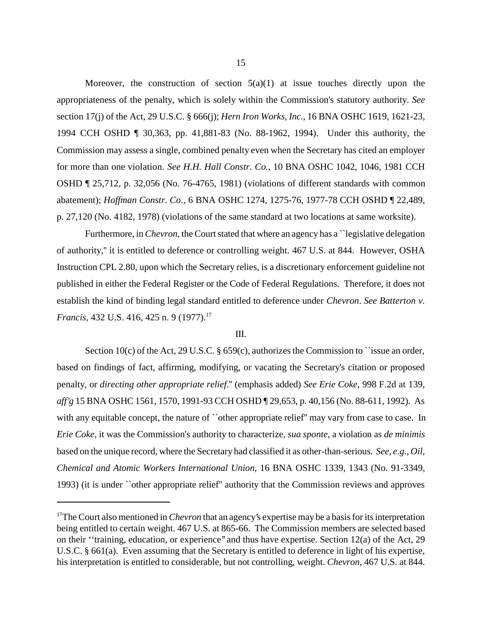Moreover, the construction of section  $5(a)(1)$  at issue touches directly upon the appropriateness of the penalty, which is solely within the Commission's statutory authority. *See* section 17(j) of the Act, 29 U.S.C. § 666(j); *Hern Iron Works, Inc.*, 16 BNA OSHC 1619, 1621-23, 1994 CCH OSHD ¶ 30,363, pp. 41,881-83 (No. 88-1962, 1994). Under this authority, the Commission may assess a single, combined penalty even when the Secretary has cited an employer for more than one violation. *See H.H. Hall Constr. Co.*, 10 BNA OSHC 1042, 1046, 1981 CCH OSHD ¶ 25,712, p. 32,056 (No. 76-4765, 1981) (violations of different standards with common abatement); *Hoffman Constr. Co*., 6 BNA OSHC 1274, 1275-76, 1977-78 CCH OSHD ¶ 22,489, p. 27,120 (No. 4182, 1978) (violations of the same standard at two locations at same worksite).

Furthermore, in *Chevron*, the Court stated that where an agency has a "legislative delegation" of authority,'' it is entitled to deference or controlling weight. 467 U.S. at 844. However, OSHA Instruction CPL 2.80, upon which the Secretary relies, is a discretionary enforcement guideline not published in either the Federal Register or the Code of Federal Regulations. Therefore, it does not establish the kind of binding legal standard entitled to deference under *Chevron*. *See Batterton v. Francis*, 432 U.S. 416, 425 n. 9 (1977).<sup>17</sup>

### III.

Section 10(c) of the Act, 29 U.S.C.  $\S 659(c)$ , authorizes the Commission to ``issue an order, based on findings of fact, affirming, modifying, or vacating the Secretary's citation or proposed penalty, or *directing other appropriate relief*.'' (emphasis added) *See Erie Coke*, 998 F.2d at 139, *aff'g* 15 BNA OSHC 1561, 1570, 1991-93 CCH OSHD ¶ 29,653, p. 40,156 (No. 88-611, 1992). As with any equitable concept, the nature of "other appropriate relief" may vary from case to case. In *Erie Coke*, it was the Commission's authority to characterize, *sua sponte*, a violation as *de minimis* based on the unique record, where the Secretary had classified it as other-than-serious. *See, e.g., Oil, Chemical and Atomic Workers International Union*, 16 BNA OSHC 1339, 1343 (No. 91-3349, 1993) (it is under ``other appropriate relief'' authority that the Commission reviews and approves

<sup>&</sup>lt;sup>17</sup>The Court also mentioned in *Chevron* that an agency's expertise may be a basis for its interpretation being entitled to certain weight. 467 U.S. at 865-66. The Commission members are selected based on their ''training, education, or experience'' and thus have expertise. Section 12(a) of the Act, 29 U.S.C. § 661(a). Even assuming that the Secretary is entitled to deference in light of his expertise, his interpretation is entitled to considerable, but not controlling, weight. *Chevron*, 467 U.S. at 844.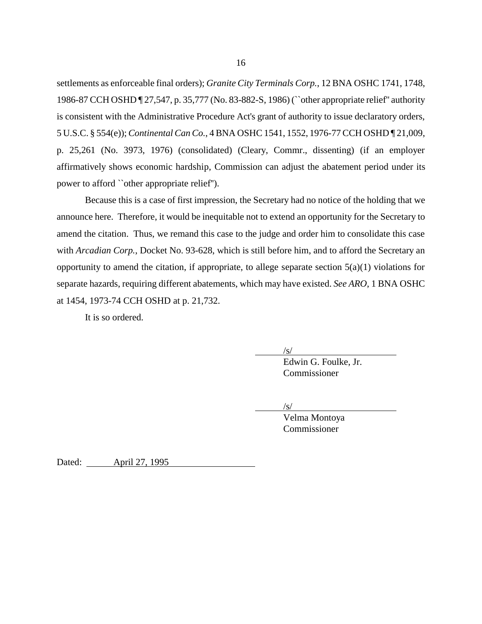settlements as enforceable final orders); *Granite City Terminals Corp.*, 12 BNA OSHC 1741, 1748, 1986-87 CCH OSHD ¶ 27,547, p. 35,777 (No. 83-882-S, 1986) (``other appropriate relief'' authority is consistent with the Administrative Procedure Act's grant of authority to issue declaratory orders, 5 U.S.C. § 554(e)); *Continental Can Co.*, 4 BNA OSHC 1541, 1552, 1976-77 CCH OSHD ¶ 21,009, p. 25,261 (No. 3973, 1976) (consolidated) (Cleary, Commr., dissenting) (if an employer affirmatively shows economic hardship, Commission can adjust the abatement period under its power to afford ``other appropriate relief'').

Because this is a case of first impression, the Secretary had no notice of the holding that we announce here. Therefore, it would be inequitable not to extend an opportunity for the Secretary to amend the citation. Thus, we remand this case to the judge and order him to consolidate this case with *Arcadian Corp.*, Docket No. 93-628, which is still before him, and to afford the Secretary an opportunity to amend the citation, if appropriate, to allege separate section  $5(a)(1)$  violations for separate hazards, requiring different abatements, which may have existed. *See ARO*, 1 BNA OSHC at 1454, 1973-74 CCH OSHD at p. 21,732.

It is so ordered.

 $\sqrt{s}$ 

Edwin G. Foulke, Jr. Commissioner

 $/s/$ 

Velma Montoya Commissioner

Dated: <u>April 27, 1995</u>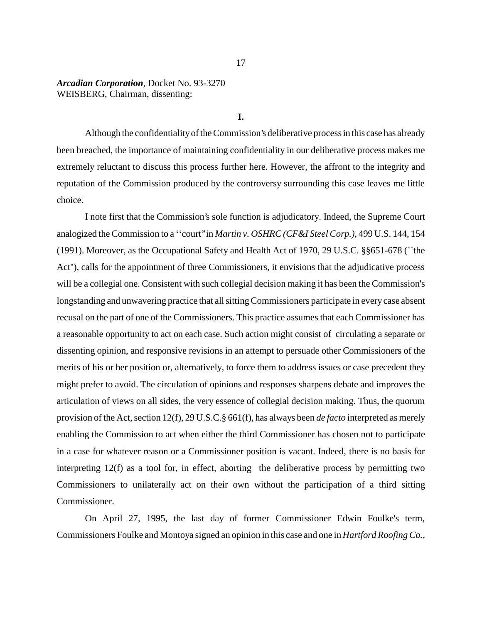# *Arcadian Corporation,* Docket No. 93-3270 WEISBERG, Chairman, dissenting:

## **I.**

Although the confidentiality of the Commission's deliberative process in this case has already been breached, the importance of maintaining confidentiality in our deliberative process makes me extremely reluctant to discuss this process further here. However, the affront to the integrity and reputation of the Commission produced by the controversy surrounding this case leaves me little choice.

I note first that the Commission's sole function is adjudicatory. Indeed, the Supreme Court analogized the Commission to a ''court'' in *Martin v. OSHRC (CF&I Steel Corp.),* 499 U.S. 144, 154 (1991). Moreover, as the Occupational Safety and Health Act of 1970, 29 U.S.C. §§651-678 (``the Act"), calls for the appointment of three Commissioners, it envisions that the adjudicative process will be a collegial one. Consistent with such collegial decision making it has been the Commission's longstanding and unwavering practice that all sitting Commissioners participate in every case absent recusal on the part of one of the Commissioners. This practice assumes that each Commissioner has a reasonable opportunity to act on each case. Such action might consist of circulating a separate or dissenting opinion, and responsive revisions in an attempt to persuade other Commissioners of the merits of his or her position or, alternatively, to force them to address issues or case precedent they might prefer to avoid. The circulation of opinions and responses sharpens debate and improves the articulation of views on all sides, the very essence of collegial decision making. Thus, the quorum provision of the Act, section 12(f), 29 U.S.C.§ 661(f), has always been *de facto* interpreted as merely enabling the Commission to act when either the third Commissioner has chosen not to participate in a case for whatever reason or a Commissioner position is vacant. Indeed, there is no basis for interpreting 12(f) as a tool for, in effect, aborting the deliberative process by permitting two Commissioners to unilaterally act on their own without the participation of a third sitting Commissioner.

On April 27, 1995, the last day of former Commissioner Edwin Foulke's term, Commissioners Foulke and Montoya signed an opinion in this case and one in *Hartford Roofing Co.,*

### 17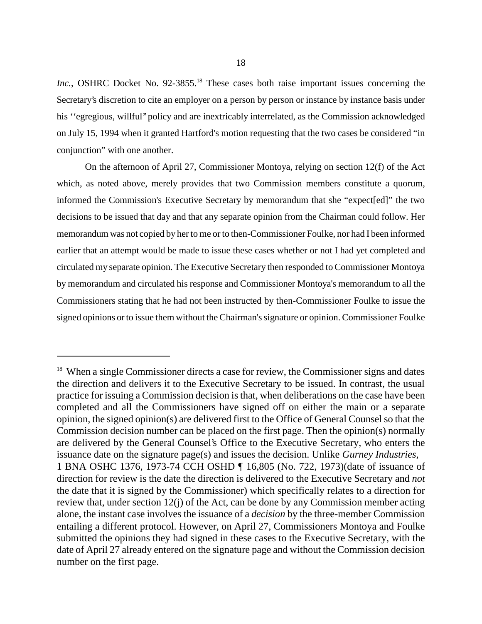*Inc.*, OSHRC Docket No. 92-3855.<sup>18</sup> These cases both raise important issues concerning the Secretary's discretion to cite an employer on a person by person or instance by instance basis under his "egregious, willful" policy and are inextricably interrelated, as the Commission acknowledged on July 15, 1994 when it granted Hartford's motion requesting that the two cases be considered "in conjunction" with one another.

On the afternoon of April 27, Commissioner Montoya, relying on section 12(f) of the Act which, as noted above, merely provides that two Commission members constitute a quorum, informed the Commission's Executive Secretary by memorandum that she "expect[ed]" the two decisions to be issued that day and that any separate opinion from the Chairman could follow. Her memorandum was not copied by her to me or to then-Commissioner Foulke, nor had I been informed earlier that an attempt would be made to issue these cases whether or not I had yet completed and circulated my separate opinion. The Executive Secretary then responded to Commissioner Montoya by memorandum and circulated his response and Commissioner Montoya's memorandum to all the Commissioners stating that he had not been instructed by then-Commissioner Foulke to issue the signed opinions or to issue them without the Chairman's signature or opinion. Commissioner Foulke

<sup>&</sup>lt;sup>18</sup> When a single Commissioner directs a case for review, the Commissioner signs and dates the direction and delivers it to the Executive Secretary to be issued. In contrast, the usual practice for issuing a Commission decision is that, when deliberations on the case have been completed and all the Commissioners have signed off on either the main or a separate opinion, the signed opinion(s) are delivered first to the Office of General Counsel so that the Commission decision number can be placed on the first page. Then the opinion(s) normally are delivered by the General Counsel's Office to the Executive Secretary, who enters the issuance date on the signature page(s) and issues the decision. Unlike *Gurney Industries,* 1 BNA OSHC 1376, 1973-74 CCH OSHD ¶ 16,805 (No. 722, 1973)(date of issuance of direction for review is the date the direction is delivered to the Executive Secretary and *not* the date that it is signed by the Commissioner) which specifically relates to a direction for review that, under section 12(j) of the Act, can be done by any Commission member acting alone, the instant case involves the issuance of a *decision* by the three-member Commission entailing a different protocol. However, on April 27, Commissioners Montoya and Foulke submitted the opinions they had signed in these cases to the Executive Secretary, with the date of April 27 already entered on the signature page and without the Commission decision number on the first page.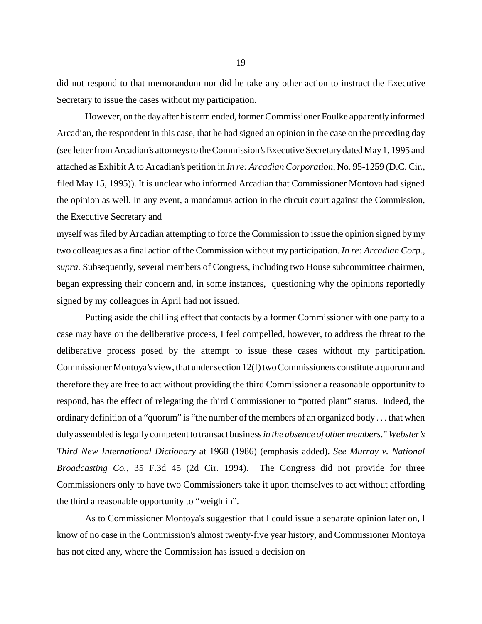did not respond to that memorandum nor did he take any other action to instruct the Executive Secretary to issue the cases without my participation.

However, on the day after his term ended, former Commissioner Foulke apparently informed Arcadian, the respondent in this case, that he had signed an opinion in the case on the preceding day (see letter from Arcadian's attorneys to the Commission's Executive Secretary dated May 1, 1995 and attached as Exhibit A to Arcadian's petition in *In re: Arcadian Corporation,* No. 95-1259 (D.C. Cir., filed May 15, 1995)). It is unclear who informed Arcadian that Commissioner Montoya had signed the opinion as well. In any event, a mandamus action in the circuit court against the Commission, the Executive Secretary and

myself was filed by Arcadian attempting to force the Commission to issue the opinion signed by my two colleagues as a final action of the Commission without my participation. *In re: Arcadian Corp., supra.* Subsequently, several members of Congress, including two House subcommittee chairmen, began expressing their concern and, in some instances, questioning why the opinions reportedly signed by my colleagues in April had not issued.

Putting aside the chilling effect that contacts by a former Commissioner with one party to a case may have on the deliberative process, I feel compelled, however, to address the threat to the deliberative process posed by the attempt to issue these cases without my participation. Commissioner Montoya's view, that under section 12(f) two Commissioners constitute a quorum and therefore they are free to act without providing the third Commissioner a reasonable opportunity to respond, has the effect of relegating the third Commissioner to "potted plant" status. Indeed, the ordinary definition of a "quorum" is "the number of the members of an organized body . . . that when duly assembled is legally competent to transact business *in the absence of other members*." *Webster's Third New International Dictionary* at 1968 (1986) (emphasis added). *See Murray v. National Broadcasting Co.*, 35 F.3d 45 (2d Cir. 1994). The Congress did not provide for three Commissioners only to have two Commissioners take it upon themselves to act without affording the third a reasonable opportunity to "weigh in".

As to Commissioner Montoya's suggestion that I could issue a separate opinion later on, I know of no case in the Commission's almost twenty-five year history, and Commissioner Montoya has not cited any, where the Commission has issued a decision on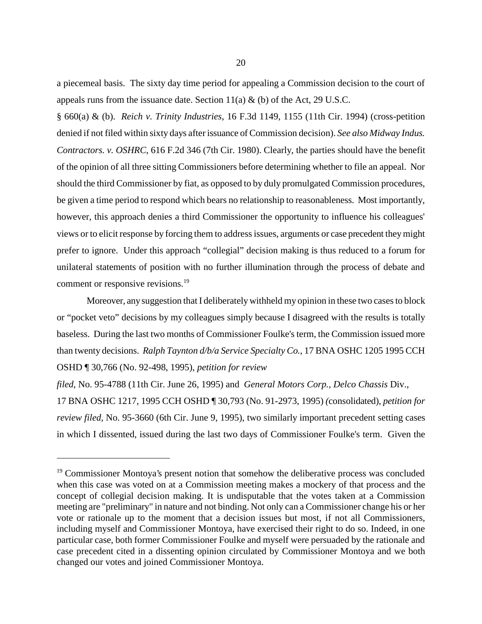a piecemeal basis. The sixty day time period for appealing a Commission decision to the court of appeals runs from the issuance date. Section  $11(a) \& (b)$  of the Act, 29 U.S.C.

§ 660(a) & (b). *Reich v. Trinity Industries*, 16 F.3d 1149, 1155 (11th Cir. 1994) (cross-petition denied if not filed within sixty days after issuance of Commission decision). *See also Midway Indus. Contractors. v. OSHRC*, 616 F.2d 346 (7th Cir. 1980). Clearly, the parties should have the benefit of the opinion of all three sitting Commissioners before determining whether to file an appeal. Nor should the third Commissioner by fiat, as opposed to by duly promulgated Commission procedures, be given a time period to respond which bears no relationship to reasonableness. Most importantly, however, this approach denies a third Commissioner the opportunity to influence his colleagues' views or to elicit response by forcing them to address issues, arguments or case precedent they might prefer to ignore. Under this approach "collegial" decision making is thus reduced to a forum for unilateral statements of position with no further illumination through the process of debate and comment or responsive revisions.<sup>19</sup>

 Moreover, any suggestion that I deliberately withheld my opinion in these two cases to block or "pocket veto" decisions by my colleagues simply because I disagreed with the results is totally baseless. During the last two months of Commissioner Foulke's term, the Commission issued more than twenty decisions. *Ralph Taynton d/b/a Service Specialty Co.*, 17 BNA OSHC 1205 1995 CCH OSHD ¶ 30,766 (No. 92-498, 1995), *petition for review* 

*filed*, No. 95-4788 (11th Cir. June 26, 1995) and *General Motors Corp., Delco Chassis* Div., 17 BNA OSHC 1217, 1995 CCH OSHD ¶ 30,793 (No. 91-2973, 1995) *(*consolidated), *petition for review filed*, No. 95-3660 (6th Cir. June 9, 1995), two similarly important precedent setting cases in which I dissented, issued during the last two days of Commissioner Foulke's term. Given the

<sup>&</sup>lt;sup>19</sup> Commissioner Montoya's present notion that somehow the deliberative process was concluded when this case was voted on at a Commission meeting makes a mockery of that process and the concept of collegial decision making. It is undisputable that the votes taken at a Commission meeting are "preliminary" in nature and not binding. Not only can a Commissioner change his or her vote or rationale up to the moment that a decision issues but most, if not all Commissioners, including myself and Commissioner Montoya, have exercised their right to do so. Indeed, in one particular case, both former Commissioner Foulke and myself were persuaded by the rationale and case precedent cited in a dissenting opinion circulated by Commissioner Montoya and we both changed our votes and joined Commissioner Montoya.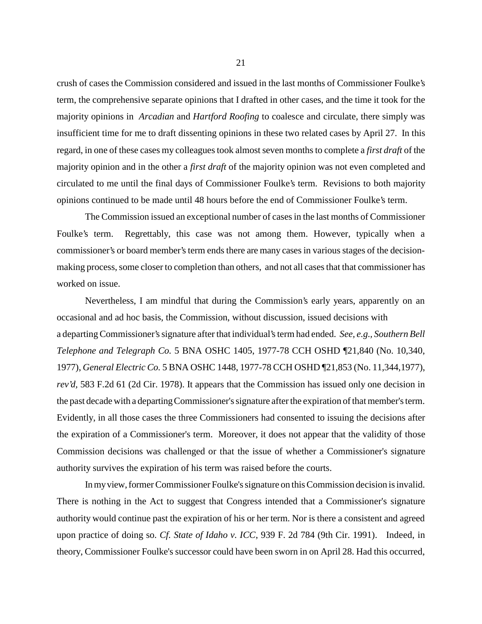crush of cases the Commission considered and issued in the last months of Commissioner Foulke's term, the comprehensive separate opinions that I drafted in other cases, and the time it took for the majority opinions in *Arcadian* and *Hartford Roofing* to coalesce and circulate, there simply was insufficient time for me to draft dissenting opinions in these two related cases by April 27. In this regard, in one of these cases my colleagues took almost seven months to complete a *first draft* of the majority opinion and in the other a *first draft* of the majority opinion was not even completed and circulated to me until the final days of Commissioner Foulke's term. Revisions to both majority opinions continued to be made until 48 hours before the end of Commissioner Foulke's term.

The Commission issued an exceptional number of cases in the last months of Commissioner Foulke's term. Regrettably, this case was not among them. However, typically when a commissioner's or board member's term ends there are many cases in various stages of the decisionmaking process, some closer to completion than others, and not all cases that that commissioner has worked on issue.

Nevertheless, I am mindful that during the Commission's early years, apparently on an occasional and ad hoc basis, the Commission, without discussion, issued decisions with a departing Commissioner's signature after that individual's term had ended. *See, e.g., Southern Bell Telephone and Telegraph Co.* 5 BNA OSHC 1405, 1977-78 CCH OSHD ¶21,840 (No. 10,340, 1977), *General Electric Co.* 5 BNA OSHC 1448, 1977-78 CCH OSHD ¶21,853 (No. 11,344,1977), *rev'd,* 583 F.2d 61 (2d Cir. 1978). It appears that the Commission has issued only one decision in the past decade with a departing Commissioner's signature after the expiration of that member's term. Evidently, in all those cases the three Commissioners had consented to issuing the decisions after the expiration of a Commissioner's term. Moreover, it does not appear that the validity of those Commission decisions was challenged or that the issue of whether a Commissioner's signature authority survives the expiration of his term was raised before the courts.

In my view, former Commissioner Foulke's signature on this Commission decision is invalid. There is nothing in the Act to suggest that Congress intended that a Commissioner's signature authority would continue past the expiration of his or her term. Nor is there a consistent and agreed upon practice of doing so. *Cf. State of Idaho v. ICC*, 939 F. 2d 784 (9th Cir. 1991). Indeed, in theory, Commissioner Foulke's successor could have been sworn in on April 28. Had this occurred,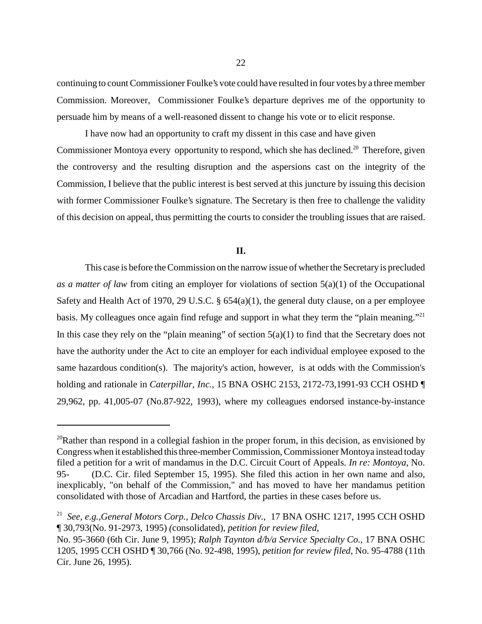continuing to count Commissioner Foulke's vote could have resulted in four votes bya three member Commission. Moreover, Commissioner Foulke's departure deprives me of the opportunity to persuade him by means of a well-reasoned dissent to change his vote or to elicit response.

I have now had an opportunity to craft my dissent in this case and have given Commissioner Montoya every opportunity to respond, which she has declined.<sup>20</sup> Therefore, given the controversy and the resulting disruption and the aspersions cast on the integrity of the Commission, I believe that the public interest is best served at this juncture by issuing this decision with former Commissioner Foulke's signature. The Secretary is then free to challenge the validity of this decision on appeal, thus permitting the courts to consider the troubling issues that are raised.

### **II.**

This case is before the Commission on the narrow issue of whether the Secretary is precluded *as a matter of law* from citing an employer for violations of section 5(a)(1) of the Occupational Safety and Health Act of 1970, 29 U.S.C. § 654(a)(1), the general duty clause, on a per employee basis. My colleagues once again find refuge and support in what they term the "plain meaning."<sup>21</sup> In this case they rely on the "plain meaning" of section  $5(a)(1)$  to find that the Secretary does not have the authority under the Act to cite an employer for each individual employee exposed to the same hazardous condition(s). The majority's action, however, is at odds with the Commission's holding and rationale in *Caterpillar, Inc.*, 15 BNA OSHC 2153, 2172-73,1991-93 CCH OSHD ¶ 29,962, pp. 41,005-07 (No.87-922, 1993), where my colleagues endorsed instance-by-instance

 $20R$ ather than respond in a collegial fashion in the proper forum, in this decision, as envisioned by Congress when it established this three-member Commission, Commissioner Montoya instead today filed a petition for a writ of mandamus in the D.C. Circuit Court of Appeals. *In re: Montoya*, No. 95- (D.C. Cir. filed September 15, 1995). She filed this action in her own name and also, inexplicably, "on behalf of the Commission," and has moved to have her mandamus petition consolidated with those of Arcadian and Hartford, the parties in these cases before us.

<sup>21</sup> *See, e.g.,General Motors Corp., Delco Chassis Div.*, 17 BNA OSHC 1217, 1995 CCH OSHD ¶ 30,793(No. 91-2973, 1995) *(*consolidated), *petition for review filed*,

No. 95-3660 (6th Cir. June 9, 1995); *Ralph Taynton d/b/a Service Specialty Co.,* 17 BNA OSHC 1205, 1995 CCH OSHD ¶ 30,766 (No. 92-498, 1995), *petition for review filed*, No. 95-4788 (11th Cir. June 26, 1995).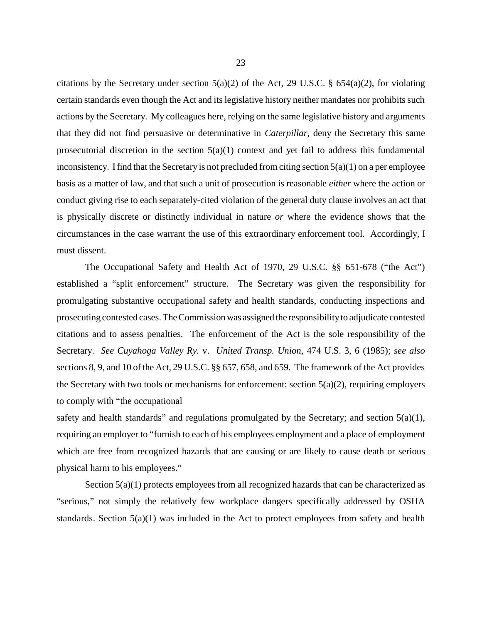citations by the Secretary under section  $5(a)(2)$  of the Act, 29 U.S.C. §  $654(a)(2)$ , for violating certain standards even though the Act and its legislative history neither mandates nor prohibits such actions by the Secretary. My colleagues here, relying on the same legislative history and arguments that they did not find persuasive or determinative in *Caterpillar*, deny the Secretary this same prosecutorial discretion in the section  $5(a)(1)$  context and yet fail to address this fundamental inconsistency. I find that the Secretary is not precluded from citing section  $5(a)(1)$  on a per employee basis as a matter of law, and that such a unit of prosecution is reasonable *either* where the action or conduct giving rise to each separately-cited violation of the general duty clause involves an act that is physically discrete or distinctly individual in nature *or* where the evidence shows that the circumstances in the case warrant the use of this extraordinary enforcement tool. Accordingly, I must dissent.

The Occupational Safety and Health Act of 1970, 29 U.S.C. §§ 651-678 ("the Act") established a "split enforcement" structure. The Secretary was given the responsibility for promulgating substantive occupational safety and health standards, conducting inspections and prosecuting contested cases. The Commission was assigned the responsibility to adjudicate contested citations and to assess penalties. The enforcement of the Act is the sole responsibility of the Secretary. *See Cuyahoga Valley Ry.* v. *United Transp. Union,* 474 U.S. 3, 6 (1985); *see also* sections 8, 9, and 10 of the Act, 29 U.S.C. §§ 657, 658, and 659. The framework of the Act provides the Secretary with two tools or mechanisms for enforcement: section  $5(a)(2)$ , requiring employers to comply with "the occupational

safety and health standards" and regulations promulgated by the Secretary; and section  $5(a)(1)$ , requiring an employer to "furnish to each of his employees employment and a place of employment which are free from recognized hazards that are causing or are likely to cause death or serious physical harm to his employees."

Section  $5(a)(1)$  protects employees from all recognized hazards that can be characterized as "serious," not simply the relatively few workplace dangers specifically addressed by OSHA standards. Section 5(a)(1) was included in the Act to protect employees from safety and health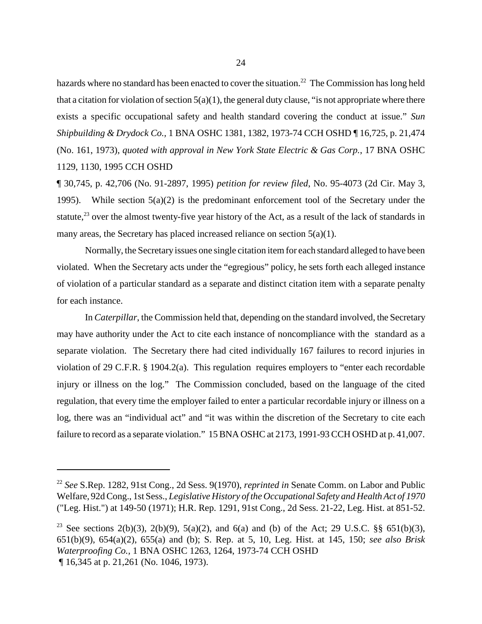hazards where no standard has been enacted to cover the situation.<sup>22</sup> The Commission has long held that a citation for violation of section  $5(a)(1)$ , the general duty clause, "is not appropriate where there exists a specific occupational safety and health standard covering the conduct at issue." *Sun Shipbuilding & Drydock Co.,* 1 BNA OSHC 1381, 1382, 1973-74 CCH OSHD ¶ 16,725, p. 21,474 (No. 161, 1973), *quoted with approval in New York State Electric & Gas Corp.*, 17 BNA OSHC 1129, 1130, 1995 CCH OSHD

¶ 30,745, p. 42,706 (No. 91-2897, 1995) *petition for review filed*, No. 95-4073 (2d Cir. May 3, 1995). While section 5(a)(2) is the predominant enforcement tool of the Secretary under the statute, $^{23}$  over the almost twenty-five year history of the Act, as a result of the lack of standards in many areas, the Secretary has placed increased reliance on section 5(a)(1).

Normally, the Secretary issues one single citation item for each standard alleged to have been violated. When the Secretary acts under the "egregious" policy, he sets forth each alleged instance of violation of a particular standard as a separate and distinct citation item with a separate penalty for each instance.

In *Caterpillar*, the Commission held that, depending on the standard involved, the Secretary may have authority under the Act to cite each instance of noncompliance with the standard as a separate violation. The Secretary there had cited individually 167 failures to record injuries in violation of 29 C.F.R. § 1904.2(a). This regulation requires employers to "enter each recordable injury or illness on the log." The Commission concluded, based on the language of the cited regulation, that every time the employer failed to enter a particular recordable injury or illness on a log, there was an "individual act" and "it was within the discretion of the Secretary to cite each failure to record as a separate violation." 15 BNA OSHC at 2173, 1991-93 CCH OSHD at p. 41,007.

<sup>22</sup> *See* S.Rep. 1282, 91st Cong., 2d Sess. 9(1970), *reprinted in* Senate Comm. on Labor and Public Welfare, 92d Cong., 1st Sess., *Legislative History of the Occupational Safety and Health Act of 1970* ("Leg. Hist.") at 149-50 (1971); H.R. Rep. 1291, 91st Cong., 2d Sess. 21-22, Leg. Hist. at 851-52.

<sup>&</sup>lt;sup>23</sup> See sections 2(b)(3), 2(b)(9), 5(a)(2), and 6(a) and (b) of the Act; 29 U.S.C. §§ 651(b)(3), 651(b)(9), 654(a)(2), 655(a) and (b); S. Rep. at 5, 10, Leg. Hist. at 145, 150; *see also Brisk Waterproofing Co.,* 1 BNA OSHC 1263, 1264, 1973-74 CCH OSHD ¶ 16,345 at p. 21,261 (No. 1046, 1973).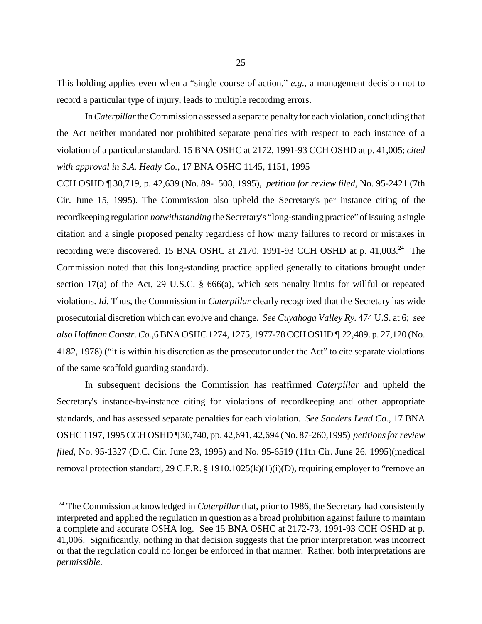This holding applies even when a "single course of action," *e.g.*, a management decision not to record a particular type of injury, leads to multiple recording errors.

In *Caterpillar* the Commission assessed a separate penalty for each violation, concluding that the Act neither mandated nor prohibited separate penalties with respect to each instance of a violation of a particular standard. 15 BNA OSHC at 2172, 1991-93 CCH OSHD at p. 41,005; *cited with approval in S.A. Healy Co.,* 17 BNA OSHC 1145, 1151, 1995

CCH OSHD ¶ 30,719, p. 42,639 (No. 89-1508, 1995), *petition for review filed,* No. 95-2421 (7th Cir. June 15, 1995). The Commission also upheld the Secretary's per instance citing of the recordkeeping regulation *notwithstanding* the Secretary's "long-standing practice" of issuing a single citation and a single proposed penalty regardless of how many failures to record or mistakes in recording were discovered. 15 BNA OSHC at 2170, 1991-93 CCH OSHD at p. 41,003.<sup>24</sup> The Commission noted that this long-standing practice applied generally to citations brought under section 17(a) of the Act, 29 U.S.C. § 666(a), which sets penalty limits for willful or repeated violations. *Id*. Thus, the Commission in *Caterpillar* clearly recognized that the Secretary has wide prosecutorial discretion which can evolve and change. *See Cuyahoga Valley Ry.* 474 U.S. at 6; *see also Hoffman Constr. Co.,*6 BNA OSHC 1274, 1275, 1977-78 CCH OSHD ¶ 22,489. p. 27,120 (No. 4182, 1978) ("it is within his discretion as the prosecutor under the Act" to cite separate violations of the same scaffold guarding standard).

In subsequent decisions the Commission has reaffirmed *Caterpillar* and upheld the Secretary's instance-by-instance citing for violations of recordkeeping and other appropriate standards, and has assessed separate penalties for each violation. *See Sanders Lead Co.,* 17 BNA OSHC 1197, 1995 CCH OSHD ¶ 30,740, pp. 42,691, 42,694 (No. 87-260,1995) *petitions for review filed*, No. 95-1327 (D.C. Cir. June 23, 1995) and No. 95-6519 (11th Cir. June 26, 1995)(medical removal protection standard, 29 C.F.R. § 1910.1025(k)(1)(i)(D), requiring employer to "remove an

<sup>&</sup>lt;sup>24</sup> The Commission acknowledged in *Caterpillar* that, prior to 1986, the Secretary had consistently interpreted and applied the regulation in question as a broad prohibition against failure to maintain a complete and accurate OSHA log. See 15 BNA OSHC at 2172-73, 1991-93 CCH OSHD at p. 41,006. Significantly, nothing in that decision suggests that the prior interpretation was incorrect or that the regulation could no longer be enforced in that manner. Rather, both interpretations are *permissible.*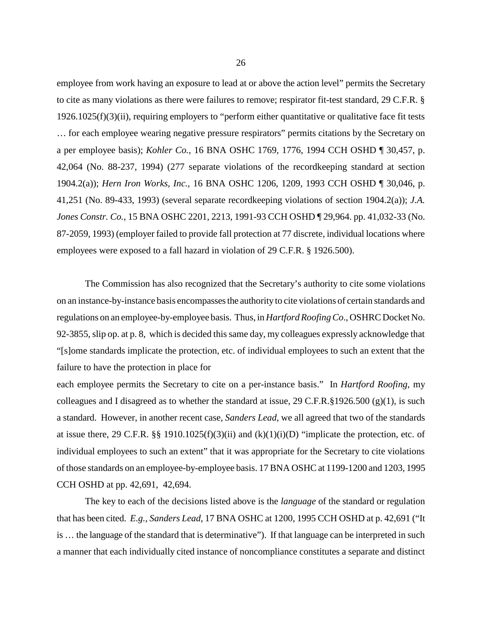employee from work having an exposure to lead at or above the action level" permits the Secretary to cite as many violations as there were failures to remove; respirator fit-test standard, 29 C.F.R. § 1926.1025(f)(3)(ii), requiring employers to "perform either quantitative or qualitative face fit tests … for each employee wearing negative pressure respirators" permits citations by the Secretary on a per employee basis); *Kohler Co.,* 16 BNA OSHC 1769, 1776, 1994 CCH OSHD ¶ 30,457, p. 42,064 (No. 88-237, 1994) (277 separate violations of the recordkeeping standard at section 1904.2(a)); *Hern Iron Works, Inc.,* 16 BNA OSHC 1206, 1209, 1993 CCH OSHD ¶ 30,046, p. 41,251 (No. 89-433, 1993) (several separate recordkeeping violations of section 1904.2(a)); *J.A. Jones Constr. Co.,* 15 BNA OSHC 2201, 2213, 1991-93 CCH OSHD ¶ 29,964. pp. 41,032-33 (No. 87-2059, 1993) (employer failed to provide fall protection at 77 discrete, individual locations where employees were exposed to a fall hazard in violation of 29 C.F.R. § 1926.500).

The Commission has also recognized that the Secretary's authority to cite some violations on an instance-by-instance basis encompasses the authority to cite violations of certain standards and regulations on an employee-by-employee basis. Thus, in *Hartford Roofing Co*., OSHRC Docket No. 92-3855, slip op. at p. 8, which is decided this same day, my colleagues expressly acknowledge that "[s]ome standards implicate the protection, etc. of individual employees to such an extent that the failure to have the protection in place for

each employee permits the Secretary to cite on a per-instance basis." In *Hartford Roofing*, my colleagues and I disagreed as to whether the standard at issue,  $29 \text{ C.F.R.}$ §1926.500 (g)(1), is such a standard. However, in another recent case, *Sanders Lead*, we all agreed that two of the standards at issue there, 29 C.F.R. §§ 1910.1025(f)(3)(ii) and (k)(1)(i)(D) "implicate the protection, etc. of individual employees to such an extent" that it was appropriate for the Secretary to cite violations of those standards on an employee-by-employee basis. 17 BNA OSHC at 1199-1200 and 1203, 1995 CCH OSHD at pp. 42,691, 42,694.

 The key to each of the decisions listed above is the *language* of the standard or regulation that has been cited. *E.g., Sanders Lead*, 17 BNA OSHC at 1200, 1995 CCH OSHD at p. 42,691 ("It is … the language of the standard that is determinative"). If that language can be interpreted in such a manner that each individually cited instance of noncompliance constitutes a separate and distinct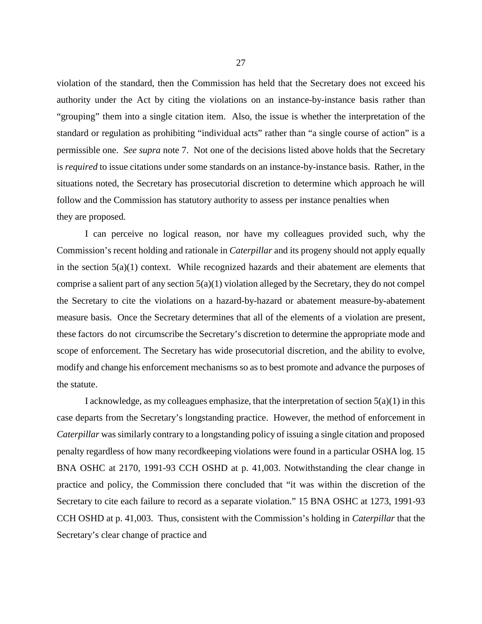violation of the standard, then the Commission has held that the Secretary does not exceed his authority under the Act by citing the violations on an instance-by-instance basis rather than "grouping" them into a single citation item. Also, the issue is whether the interpretation of the standard or regulation as prohibiting "individual acts" rather than "a single course of action" is a permissible one. *See supra* note 7. Not one of the decisions listed above holds that the Secretary is *required* to issue citations under some standards on an instance-by-instance basis. Rather, in the situations noted, the Secretary has prosecutorial discretion to determine which approach he will follow and the Commission has statutory authority to assess per instance penalties when they are proposed.

I can perceive no logical reason, nor have my colleagues provided such, why the Commission's recent holding and rationale in *Caterpillar* and its progeny should not apply equally in the section  $5(a)(1)$  context. While recognized hazards and their abatement are elements that comprise a salient part of any section  $5(a)(1)$  violation alleged by the Secretary, they do not compel the Secretary to cite the violations on a hazard-by-hazard or abatement measure-by-abatement measure basis. Once the Secretary determines that all of the elements of a violation are present, these factors do not circumscribe the Secretary's discretion to determine the appropriate mode and scope of enforcement. The Secretary has wide prosecutorial discretion, and the ability to evolve, modify and change his enforcement mechanisms so as to best promote and advance the purposes of the statute.

I acknowledge, as my colleagues emphasize, that the interpretation of section  $5(a)(1)$  in this case departs from the Secretary's longstanding practice. However, the method of enforcement in *Caterpillar* was similarly contrary to a longstanding policy of issuing a single citation and proposed penalty regardless of how many recordkeeping violations were found in a particular OSHA log. 15 BNA OSHC at 2170, 1991-93 CCH OSHD at p. 41,003. Notwithstanding the clear change in practice and policy, the Commission there concluded that "it was within the discretion of the Secretary to cite each failure to record as a separate violation." 15 BNA OSHC at 1273, 1991-93 CCH OSHD at p. 41,003. Thus, consistent with the Commission's holding in *Caterpillar* that the Secretary's clear change of practice and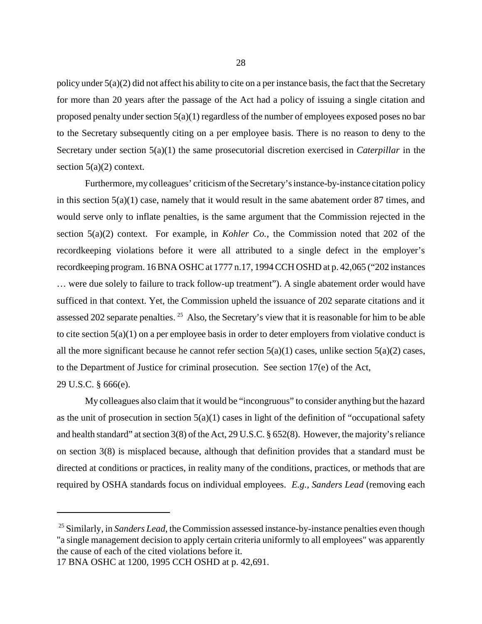policy under  $5(a)(2)$  did not affect his ability to cite on a per instance basis, the fact that the Secretary for more than 20 years after the passage of the Act had a policy of issuing a single citation and proposed penalty under section 5(a)(1) regardless of the number of employees exposed poses no bar to the Secretary subsequently citing on a per employee basis. There is no reason to deny to the Secretary under section 5(a)(1) the same prosecutorial discretion exercised in *Caterpillar* in the section  $5(a)(2)$  context.

Furthermore, my colleagues' criticism of the Secretary's instance-by-instance citation policy in this section 5(a)(1) case, namely that it would result in the same abatement order 87 times, and would serve only to inflate penalties, is the same argument that the Commission rejected in the section 5(a)(2) context. For example, in *Kohler Co.*, the Commission noted that 202 of the recordkeeping violations before it were all attributed to a single defect in the employer's recordkeeping program. 16 BNA OSHC at 1777 n.17, 1994 CCH OSHD at p. 42,065 ("202 instances … were due solely to failure to track follow-up treatment"). A single abatement order would have sufficed in that context. Yet, the Commission upheld the issuance of 202 separate citations and it assessed 202 separate penalties. <sup>25</sup> Also, the Secretary's view that it is reasonable for him to be able to cite section 5(a)(1) on a per employee basis in order to deter employers from violative conduct is all the more significant because he cannot refer section  $5(a)(1)$  cases, unlike section  $5(a)(2)$  cases, to the Department of Justice for criminal prosecution. See section 17(e) of the Act, 29 U.S.C. § 666(e).

My colleagues also claim that it would be "incongruous" to consider anything but the hazard as the unit of prosecution in section  $5(a)(1)$  cases in light of the definition of "occupational safety" and health standard" at section 3(8) of the Act, 29 U.S.C. § 652(8). However, the majority's reliance on section 3(8) is misplaced because, although that definition provides that a standard must be directed at conditions or practices, in reality many of the conditions, practices, or methods that are required by OSHA standards focus on individual employees. *E.g., Sanders Lead* (removing each

<sup>&</sup>lt;sup>25</sup> Similarly, in *Sanders Lead*, the Commission assessed instance-by-instance penalties even though "a single management decision to apply certain criteria uniformly to all employees" was apparently the cause of each of the cited violations before it.

<sup>17</sup> BNA OSHC at 1200, 1995 CCH OSHD at p. 42,691.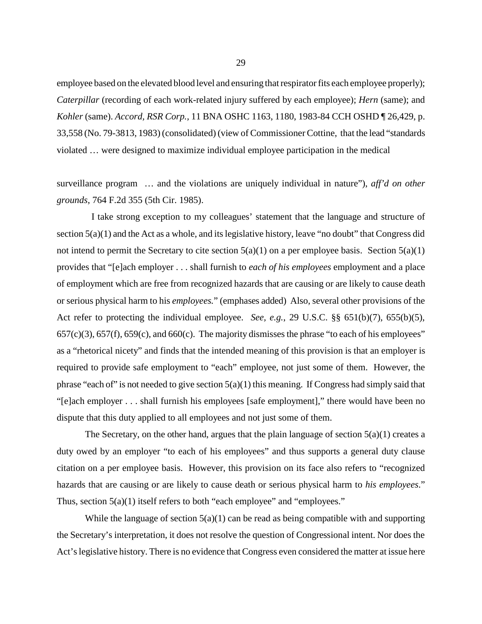employee based on the elevated blood level and ensuring that respirator fits each employee properly); *Caterpillar* (recording of each work-related injury suffered by each employee); *Hern* (same); and *Kohler* (same). *Accord, RSR Corp.,* 11 BNA OSHC 1163, 1180, 1983-84 CCH OSHD ¶ 26,429, p. 33,558 (No. 79-3813, 1983) (consolidated) (view of Commissioner Cottine, that the lead "standards violated … were designed to maximize individual employee participation in the medical

surveillance program … and the violations are uniquely individual in nature"), *aff'd on other grounds*, 764 F.2d 355 (5th Cir. 1985).

 I take strong exception to my colleagues' statement that the language and structure of section 5(a)(1) and the Act as a whole, and its legislative history, leave "no doubt" that Congress did not intend to permit the Secretary to cite section  $5(a)(1)$  on a per employee basis. Section  $5(a)(1)$ provides that "[e]ach employer . . . shall furnish to *each of his employees* employment and a place of employment which are free from recognized hazards that are causing or are likely to cause death or serious physical harm to his *employees.*" (emphases added) Also, several other provisions of the Act refer to protecting the individual employee. *See, e.g.*, 29 U.S.C. §§ 651(b)(7), 655(b)(5),  $657(c)(3)$ ,  $657(f)$ ,  $659(c)$ , and  $660(c)$ . The majority dismisses the phrase "to each of his employees" as a "rhetorical nicety" and finds that the intended meaning of this provision is that an employer is required to provide safe employment to "each" employee, not just some of them. However, the phrase "each of" is not needed to give section  $5(a)(1)$  this meaning. If Congress had simply said that "[e]ach employer . . . shall furnish his employees [safe employment]," there would have been no dispute that this duty applied to all employees and not just some of them.

The Secretary, on the other hand, argues that the plain language of section  $5(a)(1)$  creates a duty owed by an employer "to each of his employees" and thus supports a general duty clause citation on a per employee basis. However, this provision on its face also refers to "recognized hazards that are causing or are likely to cause death or serious physical harm to *his employees*." Thus, section 5(a)(1) itself refers to both "each employee" and "employees."

While the language of section  $5(a)(1)$  can be read as being compatible with and supporting the Secretary's interpretation, it does not resolve the question of Congressional intent. Nor does the Act's legislative history. There is no evidence that Congress even considered the matter at issue here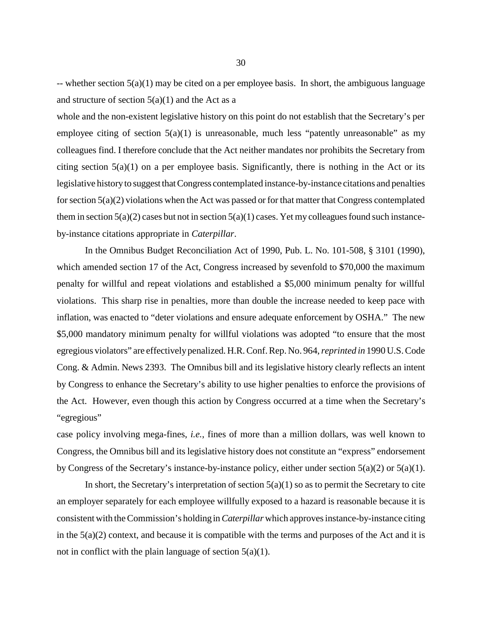-- whether section  $5(a)(1)$  may be cited on a per employee basis. In short, the ambiguous language and structure of section  $5(a)(1)$  and the Act as a

whole and the non-existent legislative history on this point do not establish that the Secretary's per employee citing of section  $5(a)(1)$  is unreasonable, much less "patently unreasonable" as my colleagues find. I therefore conclude that the Act neither mandates nor prohibits the Secretary from citing section  $5(a)(1)$  on a per employee basis. Significantly, there is nothing in the Act or its legislative history to suggest that Congress contemplated instance-by-instance citations and penalties for section 5(a)(2) violations when the Act was passed or for that matter that Congress contemplated them in section  $5(a)(2)$  cases but not in section  $5(a)(1)$  cases. Yet my colleagues found such instanceby-instance citations appropriate in *Caterpillar*.

In the Omnibus Budget Reconciliation Act of 1990, Pub. L. No. 101-508, § 3101 (1990), which amended section 17 of the Act, Congress increased by sevenfold to \$70,000 the maximum penalty for willful and repeat violations and established a \$5,000 minimum penalty for willful violations. This sharp rise in penalties, more than double the increase needed to keep pace with inflation, was enacted to "deter violations and ensure adequate enforcement by OSHA." The new \$5,000 mandatory minimum penalty for willful violations was adopted "to ensure that the most egregious violators" are effectively penalized. H.R. Conf. Rep. No. 964, *reprinted in* 1990 U.S. Code Cong. & Admin. News 2393. The Omnibus bill and its legislative history clearly reflects an intent by Congress to enhance the Secretary's ability to use higher penalties to enforce the provisions of the Act. However, even though this action by Congress occurred at a time when the Secretary's "egregious"

case policy involving mega-fines, *i.e.*, fines of more than a million dollars, was well known to Congress, the Omnibus bill and its legislative history does not constitute an "express" endorsement by Congress of the Secretary's instance-by-instance policy, either under section 5(a)(2) or 5(a)(1).

In short, the Secretary's interpretation of section  $5(a)(1)$  so as to permit the Secretary to cite an employer separately for each employee willfully exposed to a hazard is reasonable because it is consistent with the Commission's holding in *Caterpillar* which approves instance-by-instance citing in the 5(a)(2) context, and because it is compatible with the terms and purposes of the Act and it is not in conflict with the plain language of section  $5(a)(1)$ .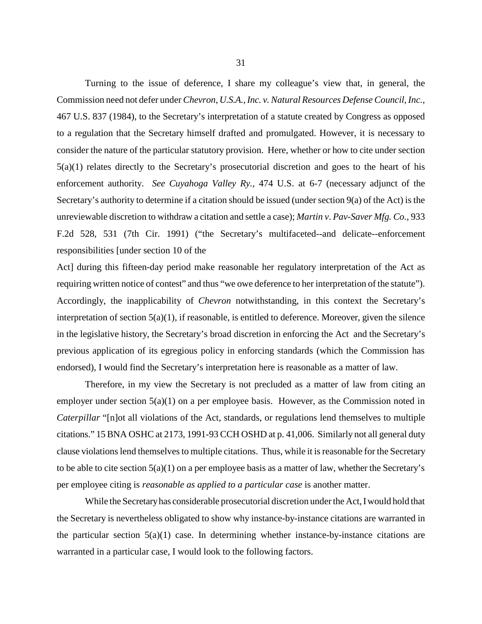Turning to the issue of deference, I share my colleague's view that, in general, the Commission need not defer under *Chevron, U.S.A., Inc. v. Natural Resources Defense Council, Inc.*, 467 U.S. 837 (1984), to the Secretary's interpretation of a statute created by Congress as opposed to a regulation that the Secretary himself drafted and promulgated. However, it is necessary to consider the nature of the particular statutory provision. Here, whether or how to cite under section 5(a)(1) relates directly to the Secretary's prosecutorial discretion and goes to the heart of his enforcement authority. *See Cuyahoga Valley Ry.*, 474 U.S. at 6-7 (necessary adjunct of the Secretary's authority to determine if a citation should be issued (under section 9(a) of the Act) is the unreviewable discretion to withdraw a citation and settle a case); *Martin v*. *Pav-Saver Mfg. Co.,* 933 F.2d 528, 531 (7th Cir. 1991) ("the Secretary's multifaceted--and delicate--enforcement responsibilities [under section 10 of the

Act] during this fifteen-day period make reasonable her regulatory interpretation of the Act as requiring written notice of contest" and thus "we owe deference to her interpretation of the statute"). Accordingly, the inapplicability of *Chevron* notwithstanding, in this context the Secretary's interpretation of section 5(a)(1), if reasonable, is entitled to deference. Moreover, given the silence in the legislative history, the Secretary's broad discretion in enforcing the Act and the Secretary's previous application of its egregious policy in enforcing standards (which the Commission has endorsed), I would find the Secretary's interpretation here is reasonable as a matter of law.

Therefore, in my view the Secretary is not precluded as a matter of law from citing an employer under section  $5(a)(1)$  on a per employee basis. However, as the Commission noted in *Caterpillar* "[n]ot all violations of the Act, standards, or regulations lend themselves to multiple citations." 15 BNA OSHC at 2173, 1991-93 CCH OSHD at p. 41,006. Similarly not all general duty clause violations lend themselves to multiple citations. Thus, while it is reasonable for the Secretary to be able to cite section 5(a)(1) on a per employee basis as a matter of law, whether the Secretary's per employee citing is *reasonable as applied to a particular case* is another matter.

While the Secretary has considerable prosecutorial discretion under the Act, I would hold that the Secretary is nevertheless obligated to show why instance-by-instance citations are warranted in the particular section  $5(a)(1)$  case. In determining whether instance-by-instance citations are warranted in a particular case, I would look to the following factors.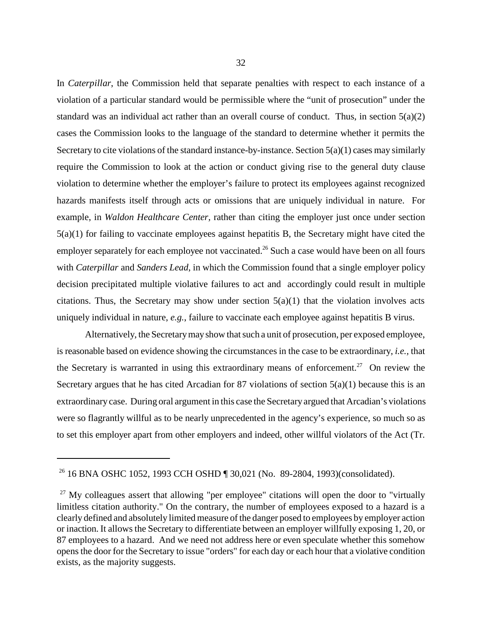In *Caterpillar*, the Commission held that separate penalties with respect to each instance of a violation of a particular standard would be permissible where the "unit of prosecution" under the standard was an individual act rather than an overall course of conduct. Thus, in section 5(a)(2) cases the Commission looks to the language of the standard to determine whether it permits the Secretary to cite violations of the standard instance-by-instance. Section 5(a)(1) cases may similarly require the Commission to look at the action or conduct giving rise to the general duty clause violation to determine whether the employer's failure to protect its employees against recognized hazards manifests itself through acts or omissions that are uniquely individual in nature.For example, in *Waldon Healthcare Center,* rather than citing the employer just once under section 5(a)(1) for failing to vaccinate employees against hepatitis B, the Secretary might have cited the employer separately for each employee not vaccinated.<sup>26</sup> Such a case would have been on all fours with *Caterpillar* and *Sanders Lead*, in which the Commission found that a single employer policy decision precipitated multiple violative failures to act and accordingly could result in multiple citations. Thus, the Secretary may show under section  $5(a)(1)$  that the violation involves acts uniquely individual in nature, *e.g.*, failure to vaccinate each employee against hepatitis B virus.

Alternatively, the Secretary may show that such a unit of prosecution, per exposed employee, is reasonable based on evidence showing the circumstances in the case to be extraordinary, *i.e.,* that the Secretary is warranted in using this extraordinary means of enforcement.<sup>27</sup> On review the Secretary argues that he has cited Arcadian for 87 violations of section  $5(a)(1)$  because this is an extraordinary case. During oral argument in this case the Secretary argued that Arcadian's violations were so flagrantly willful as to be nearly unprecedented in the agency's experience, so much so as to set this employer apart from other employers and indeed, other willful violators of the Act (Tr.

<sup>&</sup>lt;sup>26</sup> 16 BNA OSHC 1052, 1993 CCH OSHD ¶ 30,021 (No. 89-2804, 1993)(consolidated).

 $27$  My colleagues assert that allowing "per employee" citations will open the door to "virtually limitless citation authority." On the contrary, the number of employees exposed to a hazard is a clearly defined and absolutely limited measure of the danger posed to employees by employer action or inaction. It allows the Secretary to differentiate between an employer willfully exposing 1, 20, or 87 employees to a hazard. And we need not address here or even speculate whether this somehow opens the door for the Secretary to issue "orders" for each day or each hour that a violative condition exists, as the majority suggests.